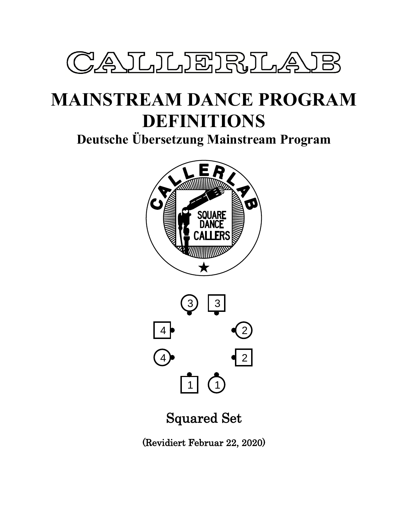

# **MAINSTREAM DANCE PROGRAM DEFINITIONS**

**Deutsche Übersetzung Mainstream Program**





# Squared Set

(Revidiert Februar 22, 2020)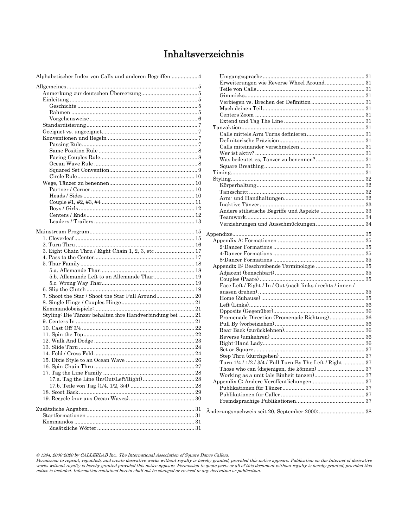# Inhaltsverzeichnis

| Alphabetischer Index von Calls und anderen Begriffen  4 |
|---------------------------------------------------------|
|                                                         |
|                                                         |
|                                                         |
|                                                         |
|                                                         |
|                                                         |
|                                                         |
|                                                         |
|                                                         |
|                                                         |
|                                                         |
|                                                         |
|                                                         |
|                                                         |
|                                                         |
|                                                         |
|                                                         |
|                                                         |
|                                                         |
|                                                         |
|                                                         |
|                                                         |
|                                                         |
|                                                         |
|                                                         |
|                                                         |
|                                                         |
|                                                         |
|                                                         |
| 5.b. Allemande Left to an Allemande Thar 19             |
|                                                         |
|                                                         |
| 7. Shoot the Star / Shoot the Star Full Around 20       |
|                                                         |
|                                                         |
| Styling: Die Tänzer behalten ihre Handverbindung bei21  |
|                                                         |
|                                                         |
|                                                         |
|                                                         |
|                                                         |
|                                                         |
|                                                         |
|                                                         |
|                                                         |
|                                                         |
|                                                         |
|                                                         |
|                                                         |
|                                                         |
|                                                         |
|                                                         |
|                                                         |

| Erweiterungen wie Reverse Wheel Around 31                   |  |
|-------------------------------------------------------------|--|
|                                                             |  |
|                                                             |  |
|                                                             |  |
|                                                             |  |
|                                                             |  |
|                                                             |  |
|                                                             |  |
|                                                             |  |
|                                                             |  |
|                                                             |  |
|                                                             |  |
|                                                             |  |
|                                                             |  |
|                                                             |  |
|                                                             |  |
|                                                             |  |
|                                                             |  |
|                                                             |  |
|                                                             |  |
|                                                             |  |
| Andere stilistische Begriffe und Aspekte  33                |  |
|                                                             |  |
|                                                             |  |
|                                                             |  |
|                                                             |  |
|                                                             |  |
|                                                             |  |
|                                                             |  |
|                                                             |  |
|                                                             |  |
|                                                             |  |
| Face Left / Right / In / Out (nach links / rechts / innen / |  |
|                                                             |  |
|                                                             |  |
|                                                             |  |
|                                                             |  |
| Promenade Direction (Promenade Richtung) 36                 |  |
|                                                             |  |
|                                                             |  |
|                                                             |  |
|                                                             |  |
|                                                             |  |
|                                                             |  |
|                                                             |  |
| Turn 1/4 / 1/2 / 3/4 / Full Turn By The Left / Right  37    |  |
| Those who can (diejenigen, die können)  37                  |  |
|                                                             |  |
|                                                             |  |
|                                                             |  |
|                                                             |  |
|                                                             |  |
|                                                             |  |
|                                                             |  |

© 1994, 2000-2020 by CALLERLAB Inc., The International Association of Square Dance Callers.<br>Permission to reprint, republish, and create derivative works without royalty is hereby granted, provided this notice appears. Pu notice is included. Information contained herein shall not be changed or revised in any derivation or publication.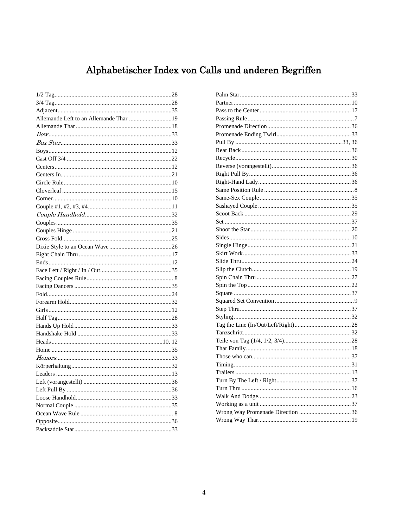# Alphabetischer Index von Calls und anderen Begriffen

<span id="page-3-0"></span>

| Allemande Left to an Allemande Thar 19 |  |
|----------------------------------------|--|
|                                        |  |
|                                        |  |
|                                        |  |
|                                        |  |
|                                        |  |
|                                        |  |
|                                        |  |
|                                        |  |
|                                        |  |
|                                        |  |
|                                        |  |
|                                        |  |
|                                        |  |
|                                        |  |
|                                        |  |
|                                        |  |
|                                        |  |
|                                        |  |
|                                        |  |
|                                        |  |
|                                        |  |
|                                        |  |
|                                        |  |
|                                        |  |
|                                        |  |
|                                        |  |
|                                        |  |
|                                        |  |
|                                        |  |
|                                        |  |
|                                        |  |
|                                        |  |
|                                        |  |
|                                        |  |
|                                        |  |
|                                        |  |
|                                        |  |
|                                        |  |
|                                        |  |
|                                        |  |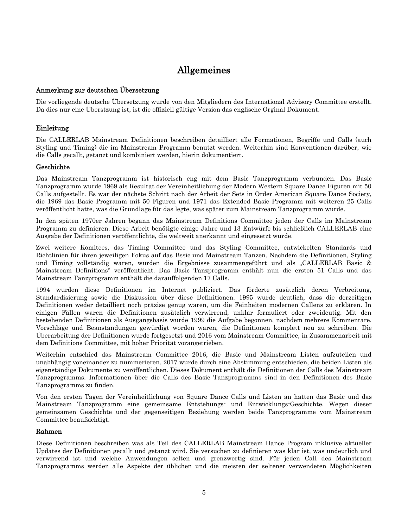# Allgemeines

#### <span id="page-4-1"></span><span id="page-4-0"></span>Anmerkung zur deutschen Übersetzung

Die vorliegende deutsche Übersetzung wurde von den Mitgliedern des International Advisory Committee erstellt. Da dies nur eine Überstzung ist, ist die offiziell gültige Version das englische Orginal Dokument.

### <span id="page-4-2"></span>Einleitung

Die CALLERLAB Mainstream Definitionen beschreiben detailliert alle Formationen, Begriffe und Calls (auch Styling und Timing) die im Mainstream Programm benutzt werden. Weiterhin sind Konventionen darüber, wie die Calls gecallt, getanzt und kombiniert werden, hierin dokumentiert.

#### <span id="page-4-3"></span>Geschichte

Das Mainstream Tanzprogramm ist historisch eng mit dem Basic Tanzprogramm verbunden. Das Basic Tanzprogramm wurde 1969 als Resultat der Vereinheitlichung der Modern Western Square Dance Figuren mit 50 Calls aufgestellt. Es war der nächste Schritt nach der Arbeit der Sets in Order American Square Dance Society, die 1969 das Basic Programm mit 50 Figuren und 1971 das Extended Basic Programm mit weiteren 25 Calls veröffentlicht hatte, was die Grundlage für das legte, was später zum Mainstream Tanzprogramm wurde.

In den späten 1970er Jahren begann das Mainstream Definitions Committee jeden der Calls im Mainstream Programm zu definieren. Diese Arbeit benötigte einige Jahre und 13 Entwürfe bis schließlich CALLERLAB eine Ausgabe der Definitionen veröffentlichte, die weltweit anerkannt und eingesetzt wurde.

Zwei weitere Komitees, das Timing Committee und das Styling Committee, entwickelten Standards und Richtlinien für ihren jeweiligen Fokus auf das Bssic und Mainstream Tanzen. Nachdem die Definitionen, Styling und Timing vollständig waren, wurden die Ergebnisse zusammengeführt und als "CALLERLAB Basic & Mainstream Definitions" veröffentlicht. Das Basic Tanzprogramm enthält nun die ersten 51 Calls und das Mainstream Tanzprogramm enthält die darauffolgenden 17 Calls.

1994 wurden diese Definitionen im Internet publiziert. Das förderte zusätzlich deren Verbreitung, Standardisierung sowie die Diskussion über diese Definitionen. 1995 wurde deutlich, dass die derzeitigen Definitionen weder detailliert noch präzise genug waren, um die Feinheiten modernen Callens zu erklären. In einigen Fällen waren die Definitionen zusätzlich verwirrend, unklar formuliert oder zweideutig. Mit den bestehenden Definitionen als Ausgangsbasis wurde 1999 die Aufgabe begonnen, nachdem mehrere Kommentare, Vorschläge und Beanstandungen gewürdigt worden waren, die Definitionen komplett neu zu schreiben. Die Überarbeitung der Definitionen wurde fortgesetzt und 2016 vom Mainstream Committee, in Zusammenarbeit mit dem Definitions Committee, mit hoher Priorität vorangetrieben.

Weiterhin entschied das Mainstream Committee 2016, die Basic und Mainstream Listen aufzuteilen und unabhängig voneinander zu nummerieren. 2017 wurde durch eine Abstimmung entschieden, die beiden Listen als eigenständige Dokumente zu veröffentlichen. Dieses Dokument enthält die Definitionen der Calls des Mainstream Tanzprogramms. Informationen über die Calls des Basic Tanzprogramms sind in den Definitionen des Basic Tanzprogramms zu finden.

Von den ersten Tagen der Vereinheitlichung von Square Dance Calls und Listen an hatten das Basic und das Mainstream Tanzprogramm eine gemeinsame Entstehungs- und Entwicklungs-Geschichte. Wegen dieser gemeinsamen Geschichte und der gegenseitigen Beziehung werden beide Tanzprogramme vom Mainstream Committee beaufsichtigt.

#### <span id="page-4-4"></span>Rahmen

Diese Definitionen beschreiben was als Teil des CALLERLAB Mainstream Dance Program inklusive aktueller Updates der Definitionen gecallt und getanzt wird. Sie versuchen zu definieren was klar ist, was undeutlich und verwirrend ist und welche Anwendungen selten und grenzwertig sind. Für jeden Call des Mainstream Tanzprogramms werden alle Aspekte der üblichen und die meisten der seltener verwendeten Möglichkeiten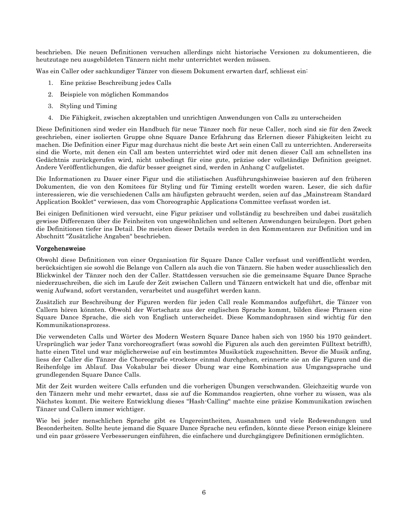beschrieben. Die neuen Definitionen versuchen allerdings nicht historische Versionen zu dokumentieren, die heutzutage neu ausgebildeten Tänzern nicht mehr unterrichtet werden müssen.

Was ein Caller oder sachkundiger Tänzer von diesem Dokument erwarten darf, schliesst ein:

- 1. Eine präzise Beschreibung jedes Calls
- 2. Beispiele von möglichen Kommandos
- 3. Styling und Timing
- 4. Die Fähigkeit, zwischen akzeptablen und unrichtigen Anwendungen von Calls zu unterscheiden

Diese Definitionen sind weder ein Handbuch für neue Tänzer noch für neue Caller, noch sind sie für den Zweck geschrieben, einer isolierten Gruppe ohne Square Dance Erfahrung das Erlernen dieser Fähigkeiten leicht zu machen. Die Definition einer Figur mag durchaus nicht die beste Art sein einen Call zu unterrichten. Andererseits sind die Worte, mit denen ein Call am besten unterrichtet wird oder mit denen dieser Call am schnellsten ins Gedächtnis zurückgerufen wird, nicht unbedingt für eine gute, präzise oder vollständige Definition geeignet. Andere Veröffentlichungen, die dafür besser geeignet sind, werden in Anhang C aufgelistet.

Die Informationen zu Dauer einer Figur und die stilistischen Ausführungshinweise basieren auf den früheren Dokumenten, die von den Komitees für Styling und für Timing erstellt worden waren. Leser, die sich dafür interessieren, wie die verschiedenen Calls am häufigsten gebraucht werden, seien auf das "Mainstream Standard Application Booklet" verwiesen, das vom Choreographic Applications Committee verfasst worden ist.

Bei einigen Definitionen wird versucht, eine Figur präziser und vollständig zu beschreiben und dabei zusätzlich gewisse Differenzen über die Feinheiten von ungewöhnlichen und seltenen Anwendungen beizulegen. Dort gehen die Definitionen tiefer ins Detail. Die meisten dieser Details werden in den Kommentaren zur Definition und im Abschnitt "Zusätzliche Angaben" beschrieben.

#### <span id="page-5-0"></span>Vorgehensweise

Obwohl diese Definitionen von einer Organisation für Square Dance Caller verfasst und veröffentlicht werden, berücksichtigen sie sowohl die Belange von Callern als auch die von Tänzern. Sie haben weder ausschliesslich den Blickwinkel der Tänzer noch den der Caller. Stattdessen versuchen sie die gemeinsame Square Dance Sprache niederzuschreiben, die sich im Laufe der Zeit zwischen Callern und Tänzern entwickelt hat und die, offenbar mit wenig Aufwand, sofort verstanden, verarbeitet und ausgeführt werden kann.

Zusätzlich zur Beschreibung der Figuren werden für jeden Call reale Kommandos aufgeführt, die Tänzer von Callern hören könnten. Obwohl der Wortschatz aus der englischen Sprache kommt, bilden diese Phrasen eine Square Dance Sprache, die sich von Englisch unterscheidet. Diese Kommandophrasen sind wichtig für den Kommunikationsprozess.

Die verwendeten Calls und Wörter des Modern Western Square Dance haben sich von 1950 bis 1970 geändert. Ursprünglich war jeder Tanz vorchoreografiert (was sowohl die Figuren als auch den gereimten Fülltext betrifft), hatte einen Titel und war möglicherweise auf ein bestimmtes Musikstück zugeschnitten. Bevor die Musik anfing, liess der Caller die Tänzer die Choreografie »trocken« einmal durchgehen, erinnerte sie an die Figuren und die Reihenfolge im Ablauf. Das Vokabular bei dieser Übung war eine Kombination aus Umgangssprache und grundlegenden Square Dance Calls.

Mit der Zeit wurden weitere Calls erfunden und die vorherigen Übungen verschwanden. Gleichzeitig wurde von den Tänzern mehr und mehr erwartet, dass sie auf die Kommandos reagierten, ohne vorher zu wissen, was als Nächstes kommt. Die weitere Entwicklung dieses "Hash-Calling" machte eine präzise Kommunikation zwischen Tänzer und Callern immer wichtiger.

Wie bei jeder menschlichen Sprache gibt es Ungereimtheiten, Ausnahmen und viele Redewendungen und Besonderheiten. Sollte heute jemand die Square Dance Sprache neu erfinden, könnte diese Person einige kleinere und ein paar grössere Verbesserungen einführen, die einfachere und durchgängigere Definitionen ermöglichten.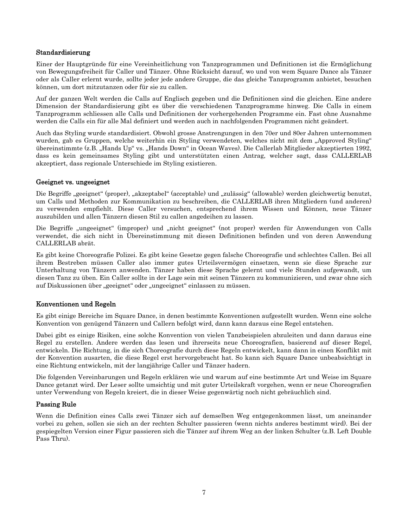#### <span id="page-6-0"></span>Standardisierung

Einer der Hauptgründe für eine Vereinheitlichung von Tanzprogrammen und Definitionen ist die Ermöglichung von Bewegungsfreiheit für Caller und Tänzer. Ohne Rücksicht darauf, wo und von wem Square Dance als Tänzer oder als Caller erlernt wurde, sollte jeder jede andere Gruppe, die das gleiche Tanzprogramm anbietet, besuchen können, um dort mitzutanzen oder für sie zu callen.

Auf der ganzen Welt werden die Calls auf Englisch gegeben und die Definitionen sind die gleichen. Eine andere Dimension der Standardisierung gibt es über die verschiedenen Tanzprogramme hinweg. Die Calls in einem Tanzprogramm schliessen alle Calls und Definitionen der vorhergehenden Programme ein. Fast ohne Ausnahme werden die Calls ein für alle Mal definiert und werden auch in nachfolgenden Programmen nicht geändert.

Auch das Styling wurde standardisiert. Obwohl grosse Anstrengungen in den 70er und 80er Jahren unternommen wurden, gab es Gruppen, welche weiterhin ein Styling verwendeten, welches nicht mit dem "Approved Styling" übereinstimmte (z.B. "Hands Up" vs. "Hands Down" in Ocean Waves). Die Callerlab Mitglieder akzeptierten 1992, dass es kein gemeinsames Styling gibt und unterstützten einen Antrag, welcher sagt, dass CALLERLAB akzeptiert, dass regionale Unterschiede im Styling existieren.

#### <span id="page-6-1"></span>Geeignet vs. ungeeignet

Die Begriffe "geeignet" (proper), "akzeptabel" (acceptable) und "zulässig" (allowable) werden gleichwertig benutzt, um Calls und Methoden zur Kommunikation zu beschreiben, die CALLERLAB ihren Mitgliedern (und anderen) zu verwenden empfiehlt. Diese Caller versuchen, entsprechend ihrem Wissen und Können, neue Tänzer auszubilden und allen Tänzern diesen Stil zu callen angedeihen zu lassen.

Die Begriffe "ungeeignet" (improper) und "nicht geeignet" (not proper) werden für Anwendungen von Calls verwendet, die sich nicht in Übereinstimmung mit diesen Definitionen befinden und von deren Anwendung CALLERLAB abrät.

Es gibt keine Choreografie Polizei. Es gibt keine Gesetze gegen falsche Choreografie und schlechtes Callen. Bei all ihrem Bestreben müssen Caller also immer gutes Urteilsvermögen einsetzen, wenn sie diese Sprache zur Unterhaltung von Tänzern anwenden. Tänzer haben diese Sprache gelernt und viele Stunden aufgewandt, um diesen Tanz zu üben. Ein Caller sollte in der Lage sein mit seinen Tänzern zu kommunizieren, und zwar ohne sich auf Diskussionen über "geeignet" oder "ungeeignet" einlassen zu müssen.

## <span id="page-6-2"></span>Konventionen und Regeln

Es gibt einige Bereiche im Square Dance, in denen bestimmte Konventionen aufgestellt wurden. Wenn eine solche Konvention von genügend Tänzern und Callern befolgt wird, dann kann daraus eine Regel entstehen.

Dabei gibt es einige Risiken, eine solche Konvention von vielen Tanzbeispielen abzuleiten und dann daraus eine Regel zu erstellen. Andere werden das lesen und ihrerseits neue Choreografien, basierend auf dieser Regel, entwickeln. Die Richtung, in die sich Choreografie durch diese Regeln entwickelt, kann dann in einen Konflikt mit der Konvention ausarten, die diese Regel erst hervorgebracht hat. So kann sich Square Dance unbeabsichtigt in eine Richtung entwickeln, mit der langjährige Caller und Tänzer hadern.

Die folgenden Vereinbarungen und Regeln erklären wie und warum auf eine bestimmte Art und Weise im Square Dance getanzt wird. Der Leser sollte umsichtig und mit guter Urteilskraft vorgehen, wenn er neue Choreografien unter Verwendung von Regeln kreiert, die in dieser Weise gegenwärtig noch nicht gebräuchlich sind.

#### <span id="page-6-3"></span>Passing Rule

Wenn die Definition eines Calls zwei Tänzer sich auf demselben Weg entgegenkommen lässt, um aneinander vorbei zu gehen, sollen sie sich an der rechten Schulter passieren (wenn nichts anderes bestimmt wird). Bei der gespiegelten Version einer Figur passieren sich die Tänzer auf ihrem Weg an der linken Schulter (z.B. Left Double Pass Thru).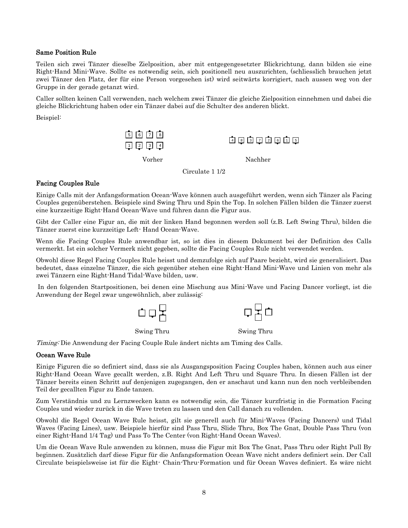#### <span id="page-7-0"></span>Same Position Rule

Teilen sich zwei Tänzer dieselbe Zielposition, aber mit entgegengesetzter Blickrichtung, dann bilden sie eine Right-Hand Mini-Wave. Sollte es notwendig sein, sich positionell neu auszurichten, (schliesslich brauchen jetzt zwei Tänzer den Platz, der für eine Person vorgesehen ist) wird seitwärts korrigiert, nach aussen weg von der Gruppe in der gerade getanzt wird.

Caller sollten keinen Call verwenden, nach welchem zwei Tänzer die gleiche Zielposition einnehmen und dabei die gleiche Blickrichtung haben oder ein Tänzer dabei auf die Schulter des anderen blickt.

Beispiel:



Circulate 1 1/2

#### <span id="page-7-1"></span>Facing Couples Rule

Einige Calls mit der Anfangsformation Ocean-Wave können auch ausgeführt werden, wenn sich Tänzer als Facing Couples gegenüberstehen. Beispiele sind Swing Thru und Spin the Top. In solchen Fällen bilden die Tänzer zuerst eine kurzzeitige Right-Hand Ocean-Wave und führen dann die Figur aus.

Gibt der Caller eine Figur an, die mit der linken Hand begonnen werden soll (z.B. Left Swing Thru), bilden die Tänzer zuerst eine kurzzeitige Left- Hand Ocean-Wave.

Wenn die Facing Couples Rule anwendbar ist, so ist dies in diesem Dokument bei der Definition des Calls vermerkt. Ist ein solcher Vermerk nicht gegeben, sollte die Facing Couples Rule nicht verwendet werden.

Obwohl diese Regel Facing Couples Rule heisst und demzufolge sich auf Paare bezieht, wird sie generalisiert. Das bedeutet, dass einzelne Tänzer, die sich gegenüber stehen eine Right-Hand Mini-Wave und Linien von mehr als zwei Tänzern eine Right-Hand Tidal-Wave bilden, usw.

In den folgenden Startpositionen, bei denen eine Mischung aus Mini-Wave und Facing Dancer vorliegt, ist die Anwendung der Regel zwar ungewöhnlich, aber zulässig:



Timing: Die Anwendung der Facing Couple Rule ändert nichts am Timing des Calls.

#### <span id="page-7-2"></span>Ocean Wave Rule

Einige Figuren die so definiert sind, dass sie als Ausgangsposition Facing Couples haben, können auch aus einer Right-Hand Ocean Wave gecallt werden, z.B. Right And Left Thru und Square Thru. In diesen Fällen ist der Tänzer bereits einen Schritt auf denjenigen zugegangen, den er anschaut und kann nun den noch verbleibenden Teil der gecallten Figur zu Ende tanzen.

Zum Verständnis und zu Lernzwecken kann es notwendig sein, die Tänzer kurzfristig in die Formation Facing Couples und wieder zurück in die Wave treten zu lassen und den Call danach zu vollenden.

Obwohl die Regel Ocean Wave Rule heisst, gilt sie generell auch für Mini-Waves (Facing Dancers) und Tidal Waves (Facing Lines), usw. Beispiele hierfür sind Pass Thru, Slide Thru, Box The Gnat, Double Pass Thru (von einer Right-Hand 1/4 Tag) und Pass To The Center (von Right-Hand Ocean Waves).

Um die Ocean Wave Rule anwenden zu können, muss die Figur mit Box The Gnat, Pass Thru oder Right Pull By beginnen. Zusätzlich darf diese Figur für die Anfangsformation Ocean Wave nicht anders definiert sein. Der Call Circulate beispielsweise ist für die Eight- Chain-Thru-Formation und für Ocean Waves definiert. Es wäre nicht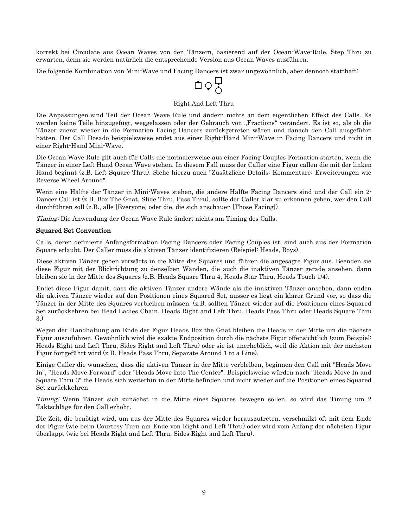korrekt bei Circulate aus Ocean Waves von den Tänzern, basierend auf der Ocean-Wave-Rule, Step Thru zu erwarten, denn sie werden natürlich die entsprechende Version aus Ocean Waves ausführen.

Die folgende Kombination von Mini-Wave und Facing Dancers ist zwar ungewöhnlich, aber dennoch statthaft:

$$
\mathbb{L}\circ \mathcal{E}
$$

#### Right And Left Thru

Die Anpassungen sind Teil der Ocean Wave Rule und ändern nichts an dem eigentlichen Effekt des Calls. Es werden keine Teile hinzugefügt, weggelassen oder der Gebrauch von "Fractions" verändert. Es ist so, als ob die Tänzer zuerst wieder in die Formation Facing Dancers zurückgetreten wären und danach den Call ausgeführt hätten. Der Call Dosado beispielsweise endet aus einer Right-Hand Mini-Wave in Facing Dancers und nicht in einer Right-Hand Mini-Wave.

Die Ocean Wave Rule gilt auch für Calls die normalerweise aus einer Facing Couples Formation starten, wenn die Tänzer in einer Left Hand Ocean Wave stehen. In diesem Fall muss der Caller eine Figur callen die mit der linken Hand beginnt (z.B. Left Square Thru). Siehe hierzu auch "Zusätzliche Details: Kommentare: Erweiterungen wie Reverse Wheel Around".

Wenn eine Hälfte der Tänzer in Mini-Waves stehen, die andere Hälfte Facing Dancers sind und der Call ein 2- Dancer Call ist (z.B. Box The Gnat, Slide Thru, Pass Thru), sollte der Caller klar zu erkennen geben, wer den Call durchführen soll (z.B., alle [Everyone] oder die, die sich anschauen [Those Facing]).

Timing: Die Anwendung der Ocean Wave Rule ändert nichts am Timing des Calls.

#### <span id="page-8-0"></span>Squared Set Convention

Calls, deren definierte Anfangsformation Facing Dancers oder Facing Couples ist, sind auch aus der Formation Square erlaubt. Der Caller muss die aktiven Tänzer identifizieren (Beispiel: Heads, Boys).

Diese aktiven Tänzer gehen vorwärts in die Mitte des Squares und führen die angesagte Figur aus. Beenden sie diese Figur mit der Blickrichtung zu denselben Wänden, die auch die inaktiven Tänzer gerade ansehen, dann bleiben sie in der Mitte des Squares (z.B. Heads Square Thru 4, Heads Star Thru, Heads Touch 1/4).

Endet diese Figur damit, dass die aktiven Tänzer andere Wände als die inaktiven Tänzer ansehen, dann enden die aktiven Tänzer wieder auf den Positionen eines Squared Set, ausser es liegt ein klarer Grund vor, so dass die Tänzer in der Mitte des Squares verbleiben müssen. (z.B. sollten Tänzer wieder auf die Positionen eines Squared Set zurückkehren bei Head Ladies Chain, Heads Right and Left Thru, Heads Pass Thru oder Heads Square Thru 3.)

Wegen der Handhaltung am Ende der Figur Heads Box the Gnat bleiben die Heads in der Mitte um die nächste Figur auszuführen. Gewöhnlich wird die exakte Endposition durch die nächste Figur offensichtlich (zum Beispiel: Heads Right and Left Thru, Sides Right and Left Thru) oder sie ist unerheblich, weil die Aktion mit der nächsten Figur fortgeführt wird (z.B. Heads Pass Thru, Separate Around 1 to a Line).

Einige Caller die wünschen, dass die aktiven Tänzer in der Mitte verbleiben, beginnen den Call mit "Heads Move In", "Heads Move Forward" oder "Heads Move Into The Center". Beispielsweise würden nach "Heads Move In and Square Thru 3" die Heads sich weiterhin in der Mitte befinden und nicht wieder auf die Positionen eines Squared Set zurückkehren

Timing: Wenn Tänzer sich zunächst in die Mitte eines Squares bewegen sollen, so wird das Timing um 2 Taktschläge für den Call erhöht.

Die Zeit, die benötigt wird, um aus der Mitte des Squares wieder herauszutreten, verschmilzt oft mit dem Ende der Figur (wie beim Courtesy Turn am Ende von Right and Left Thru) oder wird vom Anfang der nächsten Figur überlappt (wie bei Heads Right and Left Thru, Sides Right and Left Thru).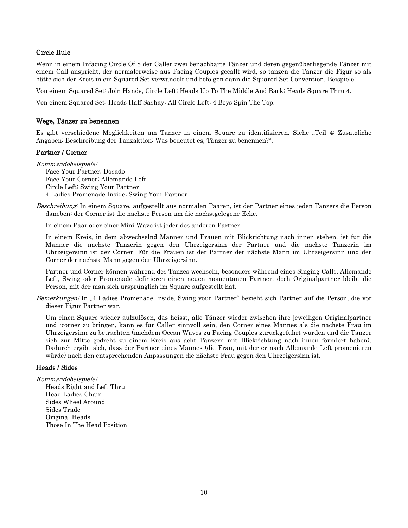#### <span id="page-9-0"></span>Circle Rule

Wenn in einem Infacing Circle Of 8 der Caller zwei benachbarte Tänzer und deren gegenüberliegende Tänzer mit einem Call anspricht, der normalerweise aus Facing Couples gecallt wird, so tanzen die Tänzer die Figur so als hätte sich der Kreis in ein Squared Set verwandelt und befolgen dann die Squared Set Convention. Beispiele:

Von einem Squared Set: Join Hands, Circle Left; Heads Up To The Middle And Back; Heads Square Thru 4.

<span id="page-9-1"></span>Von einem Squared Set: Heads Half Sashay; All Circle Left; 4 Boys Spin The Top.

#### Wege, Tänzer zu benennen

Es gibt verschiedene Möglichkeiten um Tänzer in einem Square zu identifizieren. Siehe "Teil 4: Zusätzliche Angaben: Beschreibung der Tanzaktion: Was bedeutet es, Tänzer zu benennen?".

#### <span id="page-9-2"></span>Partner / Corner

Kommandobeispiele:

Face Your Partner; Dosado Face Your Corner; Allemande Left Circle Left; Swing Your Partner 4 Ladies Promenade Inside; Swing Your Partner

Beschreibung: In einem Square, aufgestellt aus normalen Paaren, ist der Partner eines jeden Tänzers die Person daneben; der Corner ist die nächste Person um die nächstgelegene Ecke.

In einem Paar oder einer Mini-Wave ist jeder des anderen Partner.

In einem Kreis, in dem abwechselnd Männer und Frauen mit Blickrichtung nach innen stehen, ist für die Männer die nächste Tänzerin gegen den Uhrzeigersinn der Partner und die nächste Tänzerin im Uhrzeigersinn ist der Corner. Für die Frauen ist der Partner der nächste Mann im Uhrzeigersinn und der Corner der nächste Mann gegen den Uhrzeigersinn.

Partner und Corner können während des Tanzes wechseln, besonders während eines Singing Calls. Allemande Left, Swing oder Promenade definieren einen neuen momentanen Partner, doch Originalpartner bleibt die Person, mit der man sich ursprünglich im Square aufgestellt hat.

Bemerkungen: In "4 Ladies Promenade Inside, Swing your Partner" bezieht sich Partner auf die Person, die vor dieser Figur Partner war.

Um einen Square wieder aufzulösen, das heisst, alle Tänzer wieder zwischen ihre jeweiligen Originalpartner und -corner zu bringen, kann es für Caller sinnvoll sein, den Corner eines Mannes als die nächste Frau im Uhrzeigersinn zu betrachten (nachdem Ocean Waves zu Facing Couples zurückgeführt wurden und die Tänzer sich zur Mitte gedreht zu einem Kreis aus acht Tänzern mit Blickrichtung nach innen formiert haben). Dadurch ergibt sich, dass der Partner eines Mannes (die Frau, mit der er nach Allemande Left promenieren würde) nach den entsprechenden Anpassungen die nächste Frau gegen den Uhrzeigersinn ist.

#### <span id="page-9-3"></span>Heads / Sides

Kommandobeispiele:

Heads Right and Left Thru Head Ladies Chain Sides Wheel Around Sides Trade Original Heads Those In The Head Position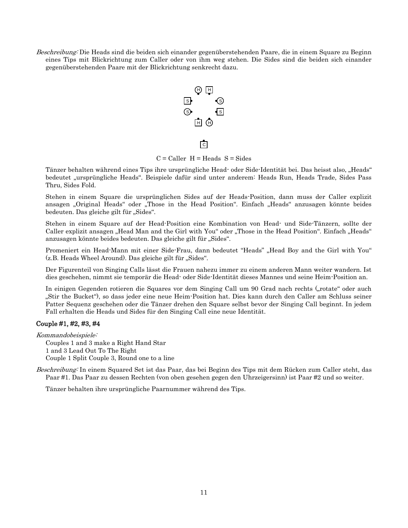Beschreibung: Die Heads sind die beiden sich einander gegenüberstehenden Paare, die in einem Square zu Beginn eines Tips mit Blickrichtung zum Caller oder von ihm weg stehen. Die Sides sind die beiden sich einander gegenüberstehenden Paare mit der Blickrichtung senkrecht dazu.



ि

 $C =$  Caller  $H =$  Heads  $S =$  Sides

Tänzer behalten während eines Tips ihre ursprüngliche Head- oder Side-Identität bei. Das heisst also, "Heads" bedeutet "ursprüngliche Heads". Beispiele dafür sind unter anderem: Heads Run, Heads Trade, Sides Pass Thru, Sides Fold.

Stehen in einem Square die ursprünglichen Sides auf der Heads-Position, dann muss der Caller explizit ansagen "Original Heads" oder "Those in the Head Position". Einfach "Heads" anzusagen könnte beides bedeuten. Das gleiche gilt für "Sides".

Stehen in einem Square auf der Head-Position eine Kombination von Head- und Side-Tänzern, sollte der Caller explizit ansagen "Head Man and the Girl with You" oder "Those in the Head Position". Einfach "Heads" anzusagen könnte beides bedeuten. Das gleiche gilt für "Sides".

Promeniert ein Head-Mann mit einer Side-Frau, dann bedeutet "Heads" "Head Boy and the Girl with You"  $(z,B, Heads$  Wheel Around). Das gleiche gilt für "Sides".

Der Figurenteil von Singing Calls lässt die Frauen nahezu immer zu einem anderen Mann weiter wandern. Ist dies geschehen, nimmt sie temporär die Head- oder Side-Identität dieses Mannes und seine Heim-Position an.

In einigen Gegenden rotieren die Squares vor dem Singing Call um 90 Grad nach rechts ("rotate" oder auch "Stir the Bucket"), so dass jeder eine neue Heim-Position hat. Dies kann durch den Caller am Schluss seiner Patter Sequenz geschehen oder die Tänzer drehen den Square selbst bevor der Singing Call beginnt. In jedem Fall erhalten die Heads und Sides für den Singing Call eine neue Identität.

#### <span id="page-10-0"></span>Couple #1, #2, #3, #4

Kommandobeispiele: Couples 1 and 3 make a Right Hand Star 1 and 3 Lead Out To The Right Couple 1 Split Couple 3, Round one to a line

Beschreibung: In einem Squared Set ist das Paar, das bei Beginn des Tips mit dem Rücken zum Caller steht, das Paar #1. Das Paar zu dessen Rechten (von oben gesehen gegen den Uhrzeigersinn) ist Paar #2 und so weiter.

Tänzer behalten ihre ursprüngliche Paarnummer während des Tips.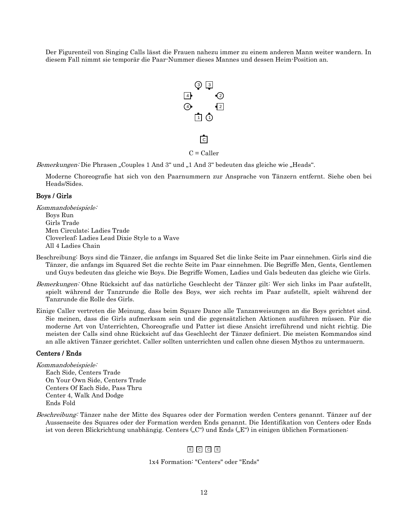Der Figurenteil von Singing Calls lässt die Frauen nahezu immer zu einem anderen Mann weiter wandern. In diesem Fall nimmt sie temporär die Paar-Nummer dieses Mannes und dessen Heim-Position an.



 $C =$ Caller

ि $\overline{c}$ 

Bemerkungen: Die Phrasen "Couples 1 And 3" und "1 And 3" bedeuten das gleiche wie "Heads".

Moderne Choreografie hat sich von den Paarnummern zur Ansprache von Tänzern entfernt. Siehe oben bei Heads/Sides.

#### <span id="page-11-0"></span>Boys / Girls

Kommandobeispiele: Boys Run Girls Trade Men Circulate; Ladies Trade Cloverleaf; Ladies Lead Dixie Style to a Wave All 4 Ladies Chain

- Beschreibung: Boys sind die Tänzer, die anfangs im Squared Set die linke Seite im Paar einnehmen. Girls sind die Tänzer, die anfangs im Squared Set die rechte Seite im Paar einnehmen. Die Begriffe Men, Gents, Gentlemen und Guys bedeuten das gleiche wie Boys. Die Begriffe Women, Ladies und Gals bedeuten das gleiche wie Girls.
- Bemerkungen: Ohne Rücksicht auf das natürliche Geschlecht der Tänzer gilt: Wer sich links im Paar aufstellt, spielt während der Tanzrunde die Rolle des Boys, wer sich rechts im Paar aufstellt, spielt während der Tanzrunde die Rolle des Girls.
- Einige Caller vertreten die Meinung, dass beim Square Dance alle Tanzanweisungen an die Boys gerichtet sind. Sie meinen, dass die Girls aufmerksam sein und die gegensätzlichen Aktionen ausführen müssen. Für die moderne Art von Unterrichten, Choreografie und Patter ist diese Ansicht irreführend und nicht richtig. Die meisten der Calls sind ohne Rücksicht auf das Geschlecht der Tänzer definiert. Die meisten Kommandos sind an alle aktiven Tänzer gerichtet. Caller sollten unterrichten und callen ohne diesen Mythos zu untermauern.

#### <span id="page-11-1"></span>Centers / Ends

Kommandobeispiele: Each Side, Centers Trade On Your Own Side, Centers Trade Centers Of Each Side, Pass Thru Center 4, Walk And Dodge Ends Fold

Beschreibung: Tänzer nahe der Mitte des Squares oder der Formation werden Centers genannt. Tänzer auf der Aussenseite des Squares oder der Formation werden Ends genannt. Die Identifikation von Centers oder Ends ist von deren Blickrichtung unabhängig. Centers ("C") und Ends ("E") in einigen üblichen Formationen:

## E C C E

#### 1x4 Formation: "Centers" oder "Ends"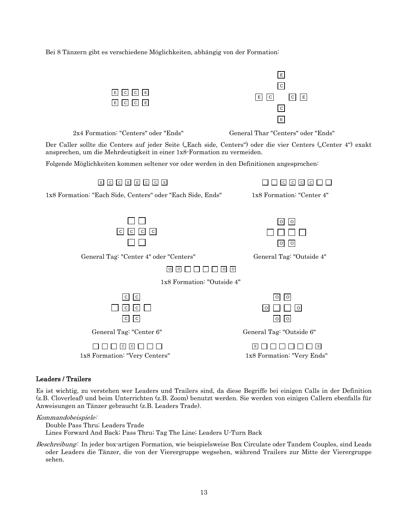Bei 8 Tänzern gibt es verschiedene Möglichkeiten, abhängig von der Formation:



#### <span id="page-12-0"></span>Leaders / Trailers

Es ist wichtig, zu verstehen wer Leaders und Trailers sind, da diese Begriffe bei einigen Calls in der Definition (z.B. Cloverleaf) und beim Unterrichten (z.B. Zoom) benutzt werden. Sie werden von einigen Callern ebenfalls für Anweisungen an Tänzer gebraucht (z.B. Leaders Trade).

Kommandobeispiele:

Double Pass Thru; Leaders Trade

Lines Forward And Back; Pass Thru; Tag The Line; Leaders U-Turn Back

Beschreibung: In jeder box-artigen Formation, wie beispielsweise Box Circulate oder Tandem Couples, sind Leads oder Leaders die Tänzer, die von der Vierergruppe wegsehen, während Trailers zur Mitte der Vierergruppe sehen.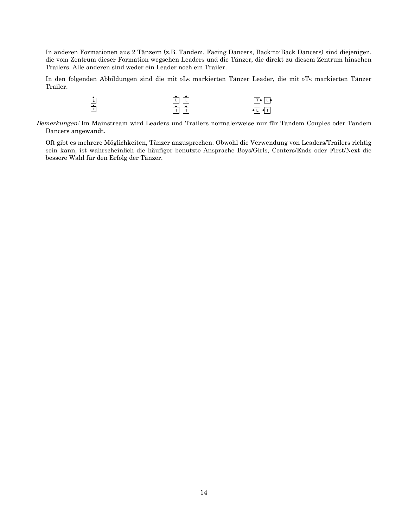In anderen Formationen aus 2 Tänzern (z.B. Tandem, Facing Dancers, Back-to-Back Dancers) sind diejenigen, die vom Zentrum dieser Formation wegsehen Leaders und die Tänzer, die direkt zu diesem Zentrum hinsehen Trailers. Alle anderen sind weder ein Leader noch ein Trailer.

In den folgenden Abbildungen sind die mit »L« markierten Tänzer Leader, die mit »T« markierten Tänzer Trailer.

| 巾 | 面面    | 国中    |
|---|-------|-------|
| 由 | ति ति | ∙⊡ ∙ा |

Bemerkungen: Im Mainstream wird Leaders und Trailers normalerweise nur für Tandem Couples oder Tandem Dancers angewandt.

Oft gibt es mehrere Möglichkeiten, Tänzer anzusprechen. Obwohl die Verwendung von Leaders/Trailers richtig sein kann, ist wahrscheinlich die häufiger benutzte Ansprache Boys/Girls, Centers/Ends oder First/Next die bessere Wahl für den Erfolg der Tänzer.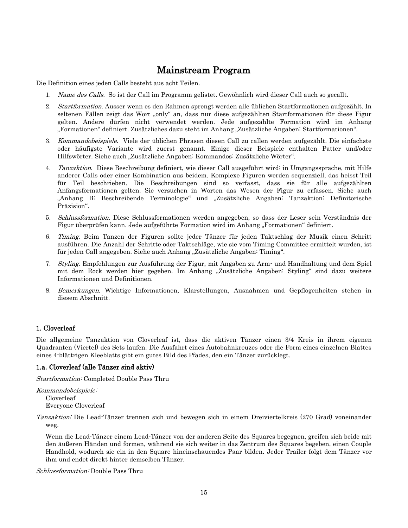## Mainstream Program

<span id="page-14-0"></span>Die Definition eines jeden Calls besteht aus acht Teilen.

- 1. Name des Calls. So ist der Call im Programm gelistet. Gewöhnlich wird dieser Call auch so gecallt.
- 2. Startformation. Ausser wenn es den Rahmen sprengt werden alle üblichen Startformationen aufgezählt. In seltenen Fällen zeigt das Wort "only" an, dass nur diese aufgezählten Startformationen für diese Figur gelten. Andere dürfen nicht verwendet werden. Jede aufgezählte Formation wird im Anhang "Formationen" definiert. Zusätzliches dazu steht im Anhang "Zusätzliche Angaben: Startformationen".
- 3. Kommandobeispiele. Viele der üblichen Phrasen diesen Call zu callen werden aufgezählt. Die einfachste oder häufigste Variante wird zuerst genannt. Einige dieser Beispiele enthalten Patter und/oder Hilfswörter. Siehe auch "Zusätzliche Angaben: Kommandos: Zusätzliche Wörter".
- 4. Tanzaktion. Diese Beschreibung definiert, wie dieser Call ausgeführt wird; in Umgangssprache, mit Hilfe anderer Calls oder einer Kombination aus beidem. Komplexe Figuren werden sequenziell, das heisst Teil für Teil beschrieben. Die Beschreibungen sind so verfasst, dass sie für alle aufgezählten Anfangsformationen gelten. Sie versuchen in Worten das Wesen der Figur zu erfassen. Siehe auch "Anhang B: Beschreibende Terminologie" und "Zusätzliche Angaben: Tanzaktion: Definitorische Präzision".
- 5. Schlussformation. Diese Schlussformationen werden angegeben, so dass der Leser sein Verständnis der Figur überprüfen kann. Jede aufgeführte Formation wird im Anhang "Formationen" definiert.
- 6. Timing. Beim Tanzen der Figuren sollte jeder Tänzer für jeden Taktschlag der Musik einen Schritt ausführen. Die Anzahl der Schritte oder Taktschläge, wie sie vom Timing Committee ermittelt wurden, ist für jeden Call angegeben. Siehe auch Anhang "Zusätzliche Angaben: Timing".
- 7. Styling. Empfehlungen zur Ausführung der Figur, mit Angaben zu Arm- und Handhaltung und dem Spiel mit dem Rock werden hier gegeben. Im Anhang "Zusätzliche Angaben: Styling" sind dazu weitere Informationen und Definitionen.
- 8. Bemerkungen. Wichtige Informationen, Klarstellungen, Ausnahmen und Gepflogenheiten stehen in diesem Abschnitt.

## <span id="page-14-1"></span>1. Cloverleaf

Die allgemeine Tanzaktion von Cloverleaf ist, dass die aktiven Tänzer einen 3/4 Kreis in ihrem eigenen Quadranten (Viertel) des Sets laufen. Die Ausfahrt eines Autobahnkreuzes oder die Form eines einzelnen Blattes eines 4-blättrigen Kleeblatts gibt ein gutes Bild des Pfades, den ein Tänzer zurücklegt.

#### 1.a. Cloverleaf (alle Tänzer sind aktiv)

Startformation: Completed Double Pass Thru

Kommandobeispiele: Cloverleaf Everyone Cloverleaf

Tanzaktion: Die Lead-Tänzer trennen sich und bewegen sich in einem Dreiviertelkreis (270 Grad) voneinander weg.

Wenn die Lead-Tänzer einem Lead-Tänzer von der anderen Seite des Squares begegnen, greifen sich beide mit den äußeren Händen und formen, während sie sich weiter in das Zentrum des Squares begeben, einen Couple Handhold, wodurch sie ein in den Square hineinschauendes Paar bilden. Jeder Trailer folgt dem Tänzer vor ihm und endet direkt hinter demselben Tänzer.

Schlussformation: Double Pass Thru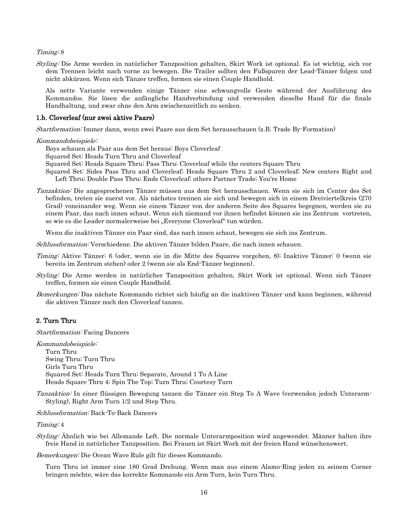#### Timing: 8

Styling: Die Arme werden in natürlicher Tanzposition gehalten, Skirt Work ist optional. Es ist wichtig, sich vor dem Trennen leicht nach vorne zu bewegen. Die Trailer sollten den Fußspuren der Lead-Tänzer folgen und nicht abkürzen. Wenn sich Tänzer treffen, formen sie einen Couple Handhold.

Als nette Variante verwenden einige Tänzer eine schwungvolle Geste während der Ausführung des Kommandos. Sie lösen die anfängliche Handverbindung und verwenden dieselbe Hand für die finale Handhaltung, und zwar ohne den Arm zwischenzeitlich zu senken.

#### 1.b. Cloverleaf (nur zwei aktive Paare)

Startformation: Immer dann, wenn zwei Paare aus dem Set herausschauen (z.B. Trade By-Formation)

#### Kommandobeispiele:

Boys schauen als Paar aus dem Set heraus: Boys Cloverleaf

- Squared Set: Heads Turn Thru and Cloverleaf
- Squared Set: Heads Square Thru; Pass Thru; Cloverleaf while the centers Square Thru
- Squared Set: Sides Pass Thru and Cloverleaf; Heads Square Thru 2 and Cloverleaf; New centers Right and Left Thru; Double Pass Thru; Ends Cloverleaf; others Partner Trade; You're Home
- Tanzaktion: Die angesprochenen Tänzer müssen aus dem Set herausschauen. Wenn sie sich im Center des Set befinden, treten sie zuerst vor. Als nächstes trennen sie sich und bewegen sich in einem Dreiviertelkreis (270 Grad) voneinander weg. Wenn sie einem Tänzer von der anderen Seite des Squares begegnen, werden sie zu einem Paar, das nach innen schaut. Wenn sich niemand vor ihnen befindet können sie ins Zentrum vortreten, so wie es die Leader normalerweise bei "Everyone Cloverleaf" tun würden.

Wenn die inaktiven Tänzer ein Paar sind, das nach innen schaut, bewegen sie sich ins Zentrum.

Schlussformation: Verschiedene. Die aktiven Tänzer bilden Paare, die nach innen schauen.

- Timing: Aktive Tänzer: 6 (oder, wenn sie in die Mitte des Squares vorgehen, 8); Inaktive Tänzer: 0 (wenn sie bereits im Zentrum stehen) oder 2 (wenn sie als End-Tänzer beginnen).
- Styling: Die Arme werden in natürlicher Tanzposition gehalten, Skirt Work ist optional. Wenn sich Tänzer treffen, formen sie einen Couple Handhold.
- Bemerkungen: Das nächste Kommando richtet sich häufig an die inaktiven Tänzer und kann beginnen, während die aktiven Tänzer noch den Cloverleaf tanzen.

#### <span id="page-15-0"></span>2. Turn Thru

Startformation: Facing Dancers

Kommandobeispiele: Turn Thru Swing Thru; Turn Thru Girls Turn Thru Squared Set: Heads Turn Thru; Separate, Around 1 To A Line Heads Square Thru 4; Spin The Top; Turn Thru; Courtesy Turn

Tanzaktion: In einer flüssigen Bewegung tanzen die Tänzer ein Step To A Wave (verwenden jedoch Unterarm-Styling), Right Arm Turn 1/2 und Step Thru.

#### Schlussformation: Back-To-Back Dancers

#### Timing: 4

Styling: Ähnlich wie bei Allemande Left. Die normale Unterarmposition wird angewendet. Männer halten ihre freie Hand in natürlicher Tanzposition. Bei Frauen ist Skirt Work mit der freien Hand wünschenswert.

Bemerkungen: Die Ocean Wave Rule gilt für dieses Kommando.

Turn Thru ist immer eine 180 Grad Drehung. Wenn man aus einem Alamo-Ring jeden zu seinem Corner bringen möchte, wäre das korrekte Kommando ein Arm Turn, kein Turn Thru.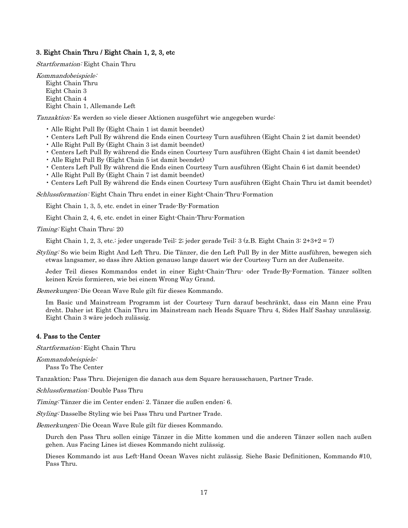#### <span id="page-16-0"></span>3. Eight Chain Thru / Eight Chain 1, 2, 3, etc

Startformation: Eight Chain Thru

Kommandobeispiele: Eight Chain Thru Eight Chain 3 Eight Chain 4 Eight Chain 1, Allemande Left

Tanzaktion: Es werden so viele dieser Aktionen ausgeführt wie angegeben wurde:

- Alle Right Pull By (Eight Chain 1 ist damit beendet)
- Centers Left Pull By während die Ends einen Courtesy Turn ausführen (Eight Chain 2 ist damit beendet)
- Alle Right Pull By (Eight Chain 3 ist damit beendet)
- Centers Left Pull By während die Ends einen Courtesy Turn ausführen (Eight Chain 4 ist damit beendet)
- Alle Right Pull By (Eight Chain 5 ist damit beendet)
- Centers Left Pull By während die Ends einen Courtesy Turn ausführen (Eight Chain 6 ist damit beendet)
- Alle Right Pull By (Eight Chain 7 ist damit beendet)
- Centers Left Pull By während die Ends einen Courtesy Turn ausführen (Eight Chain Thru ist damit beendet)

Schlussformation: Eight Chain Thru endet in einer Eight-Chain-Thru-Formation

Eight Chain 1, 3, 5, etc. endet in einer Trade-By-Formation

Eight Chain 2, 4, 6, etc. endet in einer Eight-Chain-Thru-Formation

Timing: Eight Chain Thru: 20

Eight Chain 1, 2, 3, etc.: jeder ungerade Teil: 2; jeder gerade Teil: 3 (z.B. Eight Chain 3:  $2+3+2=7$ )

Styling: So wie beim Right And Left Thru. Die Tänzer, die den Left Pull By in der Mitte ausführen, bewegen sich etwas langsamer, so dass ihre Aktion genauso lange dauert wie der Courtesy Turn an der Außenseite.

Jeder Teil dieses Kommandos endet in einer Eight-Chain-Thru- oder Trade-By-Formation. Tänzer sollten keinen Kreis formieren, wie bei einem Wrong Way Grand.

Bemerkungen: Die Ocean Wave Rule gilt für dieses Kommando.

Im Basic und Mainstream Programm ist der Courtesy Turn darauf beschränkt, dass ein Mann eine Frau dreht. Daher ist Eight Chain Thru im Mainstream nach Heads Square Thru 4, Sides Half Sashay unzulässig. Eight Chain 3 wäre jedoch zulässig.

#### <span id="page-16-1"></span>4. Pass to the Center

Startformation: Eight Chain Thru

Kommandobeispiele: Pass To The Center

Tanzaktion*:* Pass Thru. Diejenigen die danach aus dem Square herausschauen, Partner Trade.

Schlussformation: Double Pass Thru

Timing: Tänzer die im Center enden: 2. Tänzer die außen enden: 6.

Styling: Dasselbe Styling wie bei Pass Thru und Partner Trade.

Bemerkungen: Die Ocean Wave Rule gilt für dieses Kommando.

Durch den Pass Thru sollen einige Tänzer in die Mitte kommen und die anderen Tänzer sollen nach außen gehen. Aus Facing Lines ist dieses Kommando nicht zulässig.

Dieses Kommando ist aus Left-Hand Ocean Waves nicht zulässig. Siehe Basic Definitionen, Kommando #10, Pass Thru.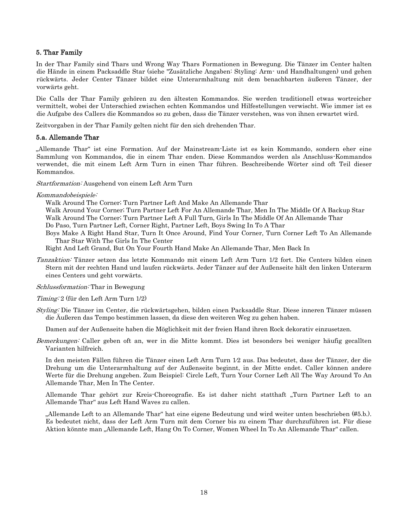### <span id="page-17-0"></span>5. Thar Family

In der Thar Family sind Thars und Wrong Way Thars Formationen in Bewegung. Die Tänzer im Center halten die Hände in einem Packsaddle Star (siehe "Zusätzliche Angaben: Styling: Arm- und Handhaltungen) und gehen rückwärts. Jeder Center Tänzer bildet eine Unterarmhaltung mit dem benachbarten äußeren Tänzer, der vorwärts geht.

Die Calls der Thar Family gehören zu den ältesten Kommandos. Sie werden traditionell etwas wortreicher vermittelt, wobei der Unterschied zwischen echten Kommandos und Hilfestellungen verwischt. Wie immer ist es die Aufgabe des Callers die Kommandos so zu geben, dass die Tänzer verstehen, was von ihnen erwartet wird.

Zeitvorgaben in der Thar Family gelten nicht für den sich drehenden Thar.

#### <span id="page-17-1"></span>5.a. Allemande Thar

"Allemande Thar" ist eine Formation. Auf der Mainstream-Liste ist es kein Kommando, sondern eher eine Sammlung von Kommandos, die in einem Thar enden. Diese Kommandos werden als Anschluss-Kommandos verwendet, die mit einem Left Arm Turn in einen Thar führen. Beschreibende Wörter sind oft Teil dieser Kommandos.

Startformation: Ausgehend von einem Left Arm Turn

Kommandobeispiele:

Walk Around The Corner; Turn Partner Left And Make An Allemande Thar

Walk Around Your Corner; Turn Partner Left For An Allemande Thar, Men In The Middle Of A Backup Star Walk Around The Corner; Turn Partner Left A Full Turn, Girls In The Middle Of An Allemande Thar Do Paso, Turn Partner Left, Corner Right, Partner Left, Boys Swing In To A Thar

Boys Make A Right Hand Star, Turn It Once Around, Find Your Corner, Turn Corner Left To An Allemande Thar Star With The Girls In The Center

Right And Left Grand, But On Your Fourth Hand Make An Allemande Thar, Men Back In

Tanzaktion: Tänzer setzen das letzte Kommando mit einem Left Arm Turn 1/2 fort. Die Centers bilden einen Stern mit der rechten Hand und laufen rückwärts. Jeder Tänzer auf der Außenseite hält den linken Unterarm eines Centers und geht vorwärts.

Schlussformation: Thar in Bewegung

Timing: 2 (für den Left Arm Turn 1/2)

Styling: Die Tänzer im Center, die rückwärtsgehen, bilden einen Packsaddle Star. Diese inneren Tänzer müssen die Äußeren das Tempo bestimmen lassen, da diese den weiteren Weg zu gehen haben.

Damen auf der Außenseite haben die Möglichkeit mit der freien Hand ihren Rock dekorativ einzusetzen.

Bemerkungen: Caller geben oft an, wer in die Mitte kommt. Dies ist besonders bei weniger häufig gecallten Varianten hilfreich.

In den meisten Fällen führen die Tänzer einen Left Arm Turn 1⁄2 aus. Das bedeutet, dass der Tänzer, der die Drehung um die Unterarmhaltung auf der Außenseite beginnt, in der Mitte endet. Caller können andere Werte für die Drehung angeben. Zum Beispiel: Circle Left, Turn Your Corner Left All The Way Around To An Allemande Thar, Men In The Center.

Allemande Thar gehört zur Kreis-Choreografie. Es ist daher nicht statthaft "Turn Partner Left to an Allemande Thar" aus Left Hand Waves zu callen.

"Allemande Left to an Allemande Thar" hat eine eigene Bedeutung und wird weiter unten beschrieben (#5.b.). Es bedeutet nicht, dass der Left Arm Turn mit dem Corner bis zu einem Thar durchzuführen ist. Für diese Aktion könnte man "Allemande Left, Hang On To Corner, Women Wheel In To An Allemande Thar" callen.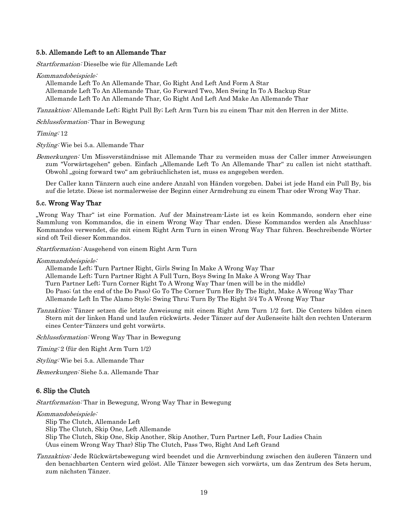#### <span id="page-18-0"></span>5.b. Allemande Left to an Allemande Thar

Startformation: Dieselbe wie für Allemande Left

Kommandobeispiele:

Allemande Left To An Allemande Thar, Go Right And Left And Form A Star Allemande Left To An Allemande Thar, Go Forward Two, Men Swing In To A Backup Star Allemande Left To An Allemande Thar, Go Right And Left And Make An Allemande Thar

Tanzaktion: Allemande Left; Right Pull By; Left Arm Turn bis zu einem Thar mit den Herren in der Mitte.

Schlussformation: Thar in Bewegung

Timing: 12

Styling: Wie bei 5.a. Allemande Thar

Bemerkungen: Um Missverständnisse mit Allemande Thar zu vermeiden muss der Caller immer Anweisungen zum "Vorwärtsgehen" geben. Einfach "Allemande Left To An Allemande Thar" zu callen ist nicht statthaft. Obwohl "going forward two" am gebräuchlichsten ist, muss es angegeben werden.

Der Caller kann Tänzern auch eine andere Anzahl von Händen vorgeben. Dabei ist jede Hand ein Pull By, bis auf die letzte. Diese ist normalerweise der Beginn einer Armdrehung zu einem Thar oder Wrong Way Thar.

#### <span id="page-18-1"></span>5.c. Wrong Way Thar

"Wrong Way Thar" ist eine Formation. Auf der Mainstream-Liste ist es kein Kommando, sondern eher eine Sammlung von Kommandos, die in einem Wrong Way Thar enden. Diese Kommandos werden als Anschluss-Kommandos verwendet, die mit einem Right Arm Turn in einen Wrong Way Thar führen. Beschreibende Wörter sind oft Teil dieser Kommandos.

Startformation: Ausgehend von einem Right Arm Turn

Kommandobeispiele:

Allemande Left; Turn Partner Right, Girls Swing In Make A Wrong Way Thar Allemande Left; Turn Partner Right A Full Turn, Boys Swing In Make A Wrong Way Thar Turn Partner Left; Turn Corner Right To A Wrong Way Thar (men will be in the middle) Do Paso; (at the end of the Do Paso) Go To The Corner Turn Her By The Right, Make A Wrong Way Thar Allemande Left In The Alamo Style; Swing Thru; Turn By The Right 3/4 To A Wrong Way Thar

Tanzaktion: Tänzer setzen die letzte Anweisung mit einem Right Arm Turn 1/2 fort. Die Centers bilden einen Stern mit der linken Hand und laufen rückwärts. Jeder Tänzer auf der Außenseite hält den rechten Unterarm eines Center-Tänzers und geht vorwärts.

Schlussformation: Wrong Way Thar in Bewegung

Timing: 2 (für den Right Arm Turn 1/2)

Styling: Wie bei 5.a. Allemande Thar

<span id="page-18-2"></span>Bemerkungen: Siehe 5.a. Allemande Thar

#### 6. Slip the Clutch

Startformation: Thar in Bewegung, Wrong Way Thar in Bewegung

#### Kommandobeispiele:

Slip The Clutch, Allemande Left

Slip The Clutch, Skip One, Left Allemande

Slip The Clutch, Skip One, Skip Another, Skip Another, Turn Partner Left, Four Ladies Chain

(Aus einem Wrong Way Thar) Slip The Clutch, Pass Two, Right And Left Grand

Tanzaktion: Jede Rückwärtsbewegung wird beendet und die Armverbindung zwischen den äußeren Tänzern und den benachbarten Centern wird gelöst. Alle Tänzer bewegen sich vorwärts, um das Zentrum des Sets herum, zum nächsten Tänzer.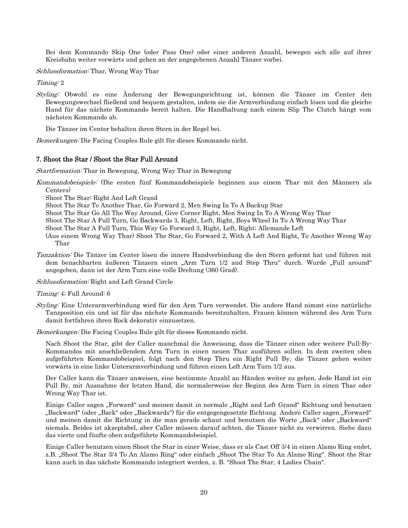Bei dem Kommando Skip One (oder Pass One) oder einer anderen Anzahl, bewegen sich alle auf ihrer Kreisbahn weiter vorwärts und gehen an der angegebenen Anzahl Tänzer vorbei.

Schlussformation: Thar, Wrong Way Thar

Timing: 2

Styling: Obwohl es eine Änderung der Bewegungsrichtung ist, können die Tänzer im Center den Bewegungswechsel fließend und bequem gestalten, indem sie die Armverbindung einfach lösen und die gleiche Hand für das nächste Kommando bereit halten. Die Handhaltung nach einem Slip The Clutch hängt vom nächsten Kommando ab.

Die Tänzer im Center behalten ihren Stern in der Regel bei.

<span id="page-19-0"></span>Bemerkungen: Die Facing Couples Rule gilt für dieses Kommando nicht.

#### 7. Shoot the Star / Shoot the Star Full Around

Startformation: Thar in Bewegung, Wrong Way Thar in Bewegung

- Kommandobeispiele: (Die ersten fünf Kommandobeispiele beginnen aus einem Thar mit den Männern als Centers)
	- Shoot The Star; Right And Left Grand

Shoot The Star To Another Thar, Go Forward 2, Men Swing In To A Backup Star

- Shoot The Star Go All The Way Around, Give Corner Right, Men Swing In To A Wrong Way Thar
- Shoot The Star A Full Turn, Go Backwards 3, Right, Left, Right, Boys Wheel In To A Wrong Way Thar

Shoot The Star A Full Turn, This Way Go Forward 3, Right, Left, Right; Allemande Left

- (Aus einem Wrong Way Thar) Shoot The Star, Go Forward 2, With A Left And Right, To Another Wrong Way Thar
- Tanzaktion: Die Tänzer im Center lösen die innere Handverbindung die den Stern geformt hat und führen mit dem benachbarten äußeren Tänzern einen "Arm Turn 1/2 and Step Thru" durch. Wurde "Full around" angegeben, dann ist der Arm Turn eine volle Drehung (360 Grad).

Schlussformation: Right and Left Grand Circle

#### Timing: 4; Full Around: 6

Styling: Eine Unterarmverbindung wird für den Arm Turn verwendet. Die andere Hand nimmt eine natürliche Tanzposition ein und ist für das nächste Kommando bereitzuhalten. Frauen können während des Arm Turn damit fortfahren ihren Rock dekorativ einzusetzen.

Bemerkungen: Die Facing Couples Rule gilt für dieses Kommando nicht.

Nach Shoot the Star, gibt der Caller manchmal die Anweisung, dass die Tänzer einen oder weitere Pull-By-Kommandos mit anschließendem Arm Turn in einen neuen Thar ausführen sollen. In dem zweiten oben aufgeführten Kommandobeispiel, folgt nach den Step Thru ein Right Pull By, die Tänzer gehen weiter vorwärts in eine linke Unterarmverbindung und führen einen Left Arm Turn 1/2 aus.

Der Caller kann die Tänzer anweisen, eine bestimmte Anzahl an Händen weiter zu gehen. Jede Hand ist ein Pull By, mit Ausnahme der letzten Hand, die normalerweise der Beginn des Arm Turn in einen Thar oder Wrong Way Thar ist.

Einige Caller sagen "Forward" und meinen damit in normale "Right and Left Grand" Richtung und benutzen "Backward" (oder "Back" oder "Backwards") für die entgegengesetzte Richtung. Andere Caller sagen "Forward" und meinen damit die Richtung in die man gerade schaut und benutzen die Worte "Back" oder "Backward" niemals. Beides ist akzeptabel, aber Caller müssen darauf achten, die Tänzer nicht zu verwirren. Siehe dazu das vierte und fünfte oben aufgeführte Kommandobeispiel.

Einige Caller benutzen einen Shoot the Star in einer Weise, dass er als Cast Off 3/4 in einen Alamo Ring endet, z.B. "Shoot The Star 3/4 To An Alamo Ring" oder einfach "Shoot The Star To An Alamo Ring". Shoot the Star kann auch in das nächste Kommando integriert werden, z. B. "Shoot The Star, 4 Ladies Chain".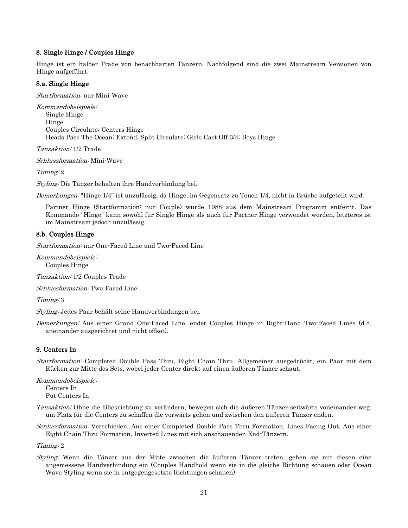#### <span id="page-20-0"></span>8. Single Hinge / Couples Hinge

Hinge ist ein halber Trade von benachbarten Tänzern. Nachfolgend sind die zwei Mainstream Versionen von Hinge aufgeführt.

#### 8.a. Single Hinge

Startformation: nur Mini-Wave

<span id="page-20-1"></span>Kommandobeispiele: Single Hinge Hinge Couples Circulate; Centers Hinge Heads Pass The Ocean; Extend; Split Circulate; Girls Cast Off 3/4; Boys Hinge

Tanzaktion: 1/2 Trade

Schlussformation: Mini-Wave

Timing: 2

<span id="page-20-2"></span>Styling: Die Tänzer behalten ihre Handverbindung bei.

Bemerkungen: "Hinge 1/4" ist unzulässig, da Hinge, im Gegensatz zu Touch 1/4, nicht in Brüche aufgeteilt wird.

Partner Hinge (Startformation: nur Couple) wurde 1988 aus dem Mainstream Programm entfernt. Das Kommando "Hinge" kann sowohl für Single Hinge als auch für Partner Hinge verwendet werden, letzteres ist im Mainstream jedoch unzulässig.

#### 8.b. Couples Hinge

Startformation: nur One-Faced Line und Two-Faced Line

Kommandobeispiele: Couples Hinge

Tanzaktion: 1/2 Couples Trade

Schlussformation: Two-Faced Line

Timing: 3

Styling: Jedes Paar behält seine Handverbindungen bei.

Bemerkungen: Aus einer Grand One-Faced Line, endet Couples Hinge in Right-Hand Two-Faced Lines (d.h. aneinander ausgerichtet und nicht offset).

## <span id="page-20-3"></span>9. Centers In

Startformation: Completed Double Pass Thru, Eight Chain Thru. Allgemeiner ausgedrückt, ein Paar mit dem Rücken zur Mitte des Sets, wobei jeder Center direkt auf einen äußeren Tänzer schaut.

Kommandobeispiele: Centers In Put Centers In

Tanzaktion: Ohne die Blickrichtung zu verändern, bewegen sich die äußeren Tänzer seitwärts voneinander weg, um Platz für die Centers zu schaffen die vorwärts gehen und zwischen den äußeren Tänzer enden.

Schlussformation: Verschieden. Aus einer Completed Double Pass Thru Formation, Lines Facing Out. Aus einer Eight Chain Thru Formation, Inverted Lines mit sich anschauenden End-Tänzern.

Timing: 2

Styling: Wenn die Tänzer aus der Mitte zwischen die äußeren Tänzer treten, gehen sie mit diesen eine angemessene Handverbindung ein (Couples Handhold wenn sie in die gleiche Richtung schauen oder Ocean Wave Styling wenn sie in entgegengesetzte Richtungen schauen).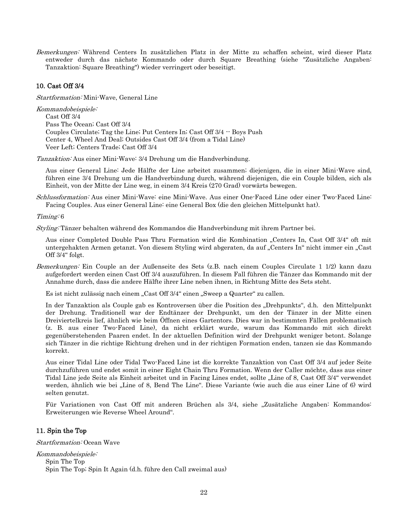Bemerkungen: Während Centers In zusätzlichen Platz in der Mitte zu schaffen scheint, wird dieser Platz entweder durch das nächste Kommando oder durch Square Breathing (siehe "Zusätzliche Angaben: Tanzaktion: Square Breathing") wieder verringert oder beseitigt.

#### <span id="page-21-0"></span>10. Cast Off 3/4

Startformation: Mini-Wave, General Line

Kommandobeispiele: Cast Off 3/4 Pass The Ocean; Cast Off 3/4 Couples Circulate; Tag the Line; Put Centers In; Cast Off 3/4 -- Boys Push Center 4, Wheel And Deal; Outsides Cast Off 3/4 (from a Tidal Line) Veer Left; Centers Trade; Cast Off 3/4

Tanzaktion: Aus einer Mini-Wave: 3/4 Drehung um die Handverbindung.

Aus einer General Line: Jede Hälfte der Line arbeitet zusammen; diejenigen, die in einer Mini-Wave sind, führen eine 3/4 Drehung um die Handverbindung durch, während diejenigen, die ein Couple bilden, sich als Einheit, von der Mitte der Line weg, in einem 3/4 Kreis (270 Grad) vorwärts bewegen.

Schlussformation: Aus einer Mini-Wave: eine Mini-Wave. Aus einer One-Faced Line oder einer Two-Faced Line: Facing Couples. Aus einer General Line: eine General Box (die den gleichen Mittelpunkt hat).

#### Timing: 6

Styling: Tänzer behalten während des Kommandos die Handverbindung mit ihrem Partner bei.

Aus einer Completed Double Pass Thru Formation wird die Kombination "Centers In, Cast Off 3/4" oft mit untergehakten Armen getanzt. Von diesem Styling wird abgeraten, da auf "Centers In" nicht immer ein "Cast Off 3/4" folgt.

Bemerkungen: Ein Couple an der Außenseite des Sets (z.B. nach einem Couples Circulate 1 1/2) kann dazu aufgefordert werden einen Cast Off 3/4 auszuführen. In diesem Fall führen die Tänzer das Kommando mit der Annahme durch, dass die andere Hälfte ihrer Line neben ihnen, in Richtung Mitte des Sets steht.

Es ist nicht zulässig nach einem "Cast Off 3/4" einen "Sweep a Quarter" zu callen.

In der Tanzaktion als Couple gab es Kontroversen über die Position des "Drehpunkts", d.h. den Mittelpunkt der Drehung. Traditionell war der Endtänzer der Drehpunkt, um den der Tänzer in der Mitte einen Dreiviertelkreis lief, ähnlich wie beim Öffnen eines Gartentors. Dies war in bestimmten Fällen problematisch (z. B. aus einer Two-Faced Line), da nicht erklärt wurde, warum das Kommando mit sich direkt gegenüberstehenden Paaren endet. In der aktuellen Definition wird der Drehpunkt weniger betont. Solange sich Tänzer in die richtige Richtung drehen und in der richtigen Formation enden, tanzen sie das Kommando korrekt.

Aus einer Tidal Line oder Tidal Two-Faced Line ist die korrekte Tanzaktion von Cast Off 3/4 auf jeder Seite durchzuführen und endet somit in einer Eight Chain Thru Formation. Wenn der Caller möchte, dass aus einer Tidal Line jede Seite als Einheit arbeitet und in Facing Lines endet, sollte "Line of 8, Cast Off 3/4" verwendet werden, ähnlich wie bei "Line of 8, Bend The Line". Diese Variante (wie auch die aus einer Line of 6) wird selten genutzt.

Für Variationen von Cast Off mit anderen Brüchen als 3/4, siehe "Zusätzliche Angaben: Kommandos: Erweiterungen wie Reverse Wheel Around".

#### <span id="page-21-1"></span>11. Spin the Top

Startformation: Ocean Wave

Kommandobeispiele: Spin The Top Spin The Top; Spin It Again (d.h. führe den Call zweimal aus)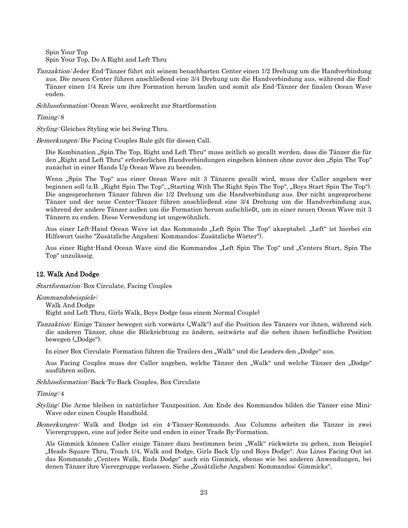Spin Your Top Spin Your Top, Do A Right and Left Thru

Tanzaktion: Jeder End-Tänzer führt mit seinem benachbarten Center einen 1/2 Drehung um die Handverbindung aus. Die neuen Center führen anschließend eine 3/4 Drehung um die Handverbindung aus, während die End-Tänzer einen 1/4 Kreis um ihre Formation herum laufen und somit als End-Tänzer der finalen Ocean Wave enden.

Schlussformation: Ocean Wave, senkrecht zur Startformation

#### Timing: 8

Styling: Gleiches Styling wie bei Swing Thru.

Bemerkungen: Die Facing Couples Rule gilt für diesen Call.

Die Kombination "Spin The Top, Right and Left Thru" muss zeitlich so gecallt werden, dass die Tänzer die für den "Right and Left Thru" erforderlichen Handverbindungen eingehen können ohne zuvor den "Spin The Top" zunächst in einer Hands Up Ocean Wave zu beenden.

Wenn "Spin The Top" aus einer Ocean Wave mit 3 Tänzern gecallt wird, muss der Caller angeben wer beginnen soll (z.B. "Right Spin The Top", "Starting With The Right Spin The Top", "Boys Start Spin The Top"). Die angesprochenen Tänzer führen die 1/2 Drehung um die Handverbindung aus. Der nicht angesprochene Tänzer und der neue Center-Tänzer führen anschließend eine 3/4 Drehung um die Handverbindung aus, während der andere Tänzer außen um die Formation herum aufschließt, um in einer neuen Ocean Wave mit 3 Tänzern zu enden. Diese Verwendung ist ungewöhnlich.

Aus einer Left-Hand Ocean Wave ist das Kommando "Left Spin The Top" akzeptabel. "Left" ist hierbei ein Hilfswort (siehe "Zusätzliche Angaben: Kommandos: Zusätzliche Wörter").

Aus einer Right-Hand Ocean Wave sind die Kommandos "Left Spin The Top" und "Centers Start, Spin The Top" unzulässig.

#### <span id="page-22-0"></span>12. Walk And Dodge

Startformation: Box Circulate, Facing Couples

Kommandobeispiele:

Walk And Dodge

Right and Left Thru, Girls Walk, Boys Dodge (aus einem Normal Couple)

Tanzaktion: Einige Tänzer bewegen sich vorwärts ("Walk") auf die Position des Tänzers vor ihnen, während sich die anderen Tänzer, ohne die Blickrichtung zu ändern, seitwärts auf die neben ihnen befindliche Position bewegen ("Dodge").

In einer Box Circulate Formation führen die Trailers den "Walk" und die Leaders den "Dodge" aus.

Aus Facing Couples muss der Caller angeben, welche Tänzer den "Walk" und welche Tänzer den "Dodge" ausführen sollen.

Schlussformation: Back-To-Back Couples, Box Circulate

#### Timing: 4

Styling: Die Arme bleiben in natürlicher Tanzposition. Am Ende des Kommandos bilden die Tänzer eine Mini-Wave oder einen Couple Handhold.

Bemerkungen: Walk and Dodge ist ein 4-Tänzer-Kommando. Aus Columns arbeiten die Tänzer in zwei Vierergruppen, eine auf jeder Seite und enden in einer Trade By-Formation.

Als Gimmick können Caller einige Tänzer dazu bestimmen beim "Walk" rückwärts zu gehen, zum Beispiel "Heads Square Thru, Touch 1/4, Walk and Dodge, Girls Back Up und Boys Dodge". Aus Lines Facing Out ist das Kommando "Centers Walk, Ends Dodge" auch ein Gimmick, ebenso wie bei anderen Anwendungen, bei denen Tänzer ihre Vierergruppe verlassen. Siehe "Zusätzliche Angaben: Kommandos: Gimmicks".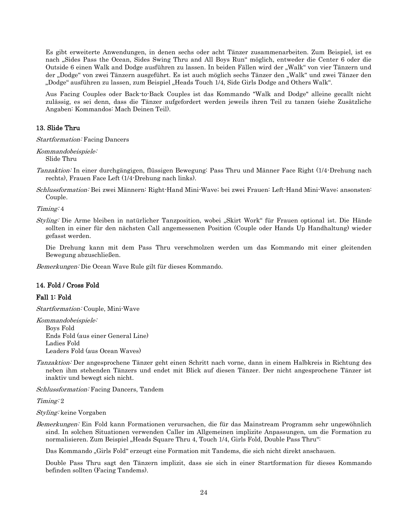Es gibt erweiterte Anwendungen, in denen sechs oder acht Tänzer zusammenarbeiten. Zum Beispiel, ist es nach "Sides Pass the Ocean, Sides Swing Thru and All Boys Run" möglich, entweder die Center 6 oder die Outside 6 einen Walk and Dodge ausführen zu lassen. In beiden Fällen wird der "Walk" von vier Tänzern und der "Dodge" von zwei Tänzern ausgeführt. Es ist auch möglich sechs Tänzer den "Walk" und zwei Tänzer den ."Dodge" ausführen zu lassen, zum Beispiel "Heads Touch 1/4, Side Girls Dodge and Others Walk.

Aus Facing Couples oder Back-to-Back Couples ist das Kommando "Walk and Dodge" alleine gecallt nicht zulässig, es sei denn, dass die Tänzer aufgefordert werden jeweils ihren Teil zu tanzen (siehe Zusätzliche Angaben: Kommandos: Mach Deinen Teil).

#### <span id="page-23-0"></span>13. Slide Thru

Startformation: Facing Dancers

Kommandobeispiele: Slide Thru

Tanzaktion: In einer durchgängigen, flüssigen Bewegung: Pass Thru und Männer Face Right (1/4-Drehung nach rechts), Frauen Face Left (1/4-Drehung nach links).

Schlussformation: Bei zwei Männern: Right-Hand Mini-Wave; bei zwei Frauen: Left-Hand Mini-Wave; ansonsten: Couple.

Timing: 4

Styling: Die Arme bleiben in natürlicher Tanzposition, wobei "Skirt Work" für Frauen optional ist. Die Hände sollten in einer für den nächsten Call angemessenen Position (Couple oder Hands Up Handhaltung) wieder gefasst werden.

Die Drehung kann mit dem Pass Thru verschmolzen werden um das Kommando mit einer gleitenden Bewegung abzuschließen.

<span id="page-23-1"></span>Bemerkungen: Die Ocean Wave Rule gilt für dieses Kommando.

#### 14. Fold / Cross Fold

#### Fall 1: Fold

Startformation: Couple, Mini-Wave

Kommandobeispiele: Boys Fold Ends Fold (aus einer General Line) Ladies Fold Leaders Fold (aus Ocean Waves)

Tanzaktion: Der angesprochene Tänzer geht einen Schritt nach vorne, dann in einem Halbkreis in Richtung des neben ihm stehenden Tänzers und endet mit Blick auf diesen Tänzer. Der nicht angesprochene Tänzer ist inaktiv und bewegt sich nicht.

Schlussformation: Facing Dancers, Tandem

Timing: 2

Styling: keine Vorgaben

Bemerkungen: Ein Fold kann Formationen verursachen, die für das Mainstream Programm sehr ungewöhnlich sind. In solchen Situationen verwenden Caller im Allgemeinen implizite Anpassungen, um die Formation zu normalisieren. Zum Beispiel "Heads Square Thru 4, Touch 1/4, Girls Fold, Double Pass Thru":

Das Kommando "Girls Fold" erzeugt eine Formation mit Tandems, die sich nicht direkt anschauen.

Double Pass Thru sagt den Tänzern implizit, dass sie sich in einer Startformation für dieses Kommando befinden sollten (Facing Tandems).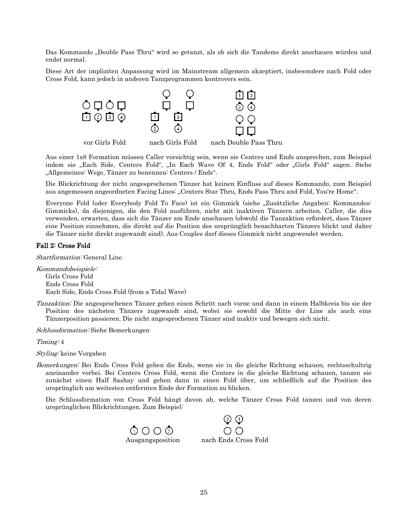Das Kommando "Double Pass Thru" wird so getanzt, als ob sich die Tandems direkt anschauen würden und endet normal.

Diese Art der impliziten Anpassung wird im Mainstream allgemein akzeptiert, insbesondere nach Fold oder Cross Fold, kann jedoch in anderen Tanzprogrammen kontrovers sein.



Aus einer 1x8 Formation müssen Caller vorsichtig sein, wenn sie Centers und Ends ansprechen, zum Beispiel indem sie "Each Side, Centers Fold", "In Each Wave Of 4, Ends Fold" oder "Girls Fold" sagen. Siehe "Allgemeines: Wege, Tänzer zu benennen: Centers / Ends".

Die Blickrichtung der nicht angesprochenen Tänzer hat keinen Einfluss auf dieses Kommando, zum Beispiel aus angemessen angeordneten Facing Lines: "Centers Star Thru, Ends Pass Thru and Fold, You're Home".

Everyone Fold (oder Everybody Fold To Face) ist ein Gimmick (siehe "Zusätzliche Angaben: Kommandos: Gimmicks), da diejenigen, die den Fold ausführen, nicht mit inaktiven Tänzern arbeiten. Caller, die dies verwenden, erwarten, dass sich die Tänzer am Ende anschauen (obwohl die Tanzaktion erfordert, dass Tänzer eine Position einnehmen, die direkt auf die Position des ursprünglich benachbarten Tänzers blickt und daher die Tänzer nicht direkt zugewandt sind). Aus Couples darf dieses Gimmick nicht angewendet werden.

#### Fall 2: Cross Fold

Startformation: General Line

Kommandobeispiele: Girls Cross Fold Ends Cross Fold Each Side, Ends Cross Fold (from a Tidal Wave)

Tanzaktion: Die angesprochenen Tänzer gehen einen Schritt nach vorne und dann in einem Halbkreis bis sie der Position des nächsten Tänzers zugewandt sind, wobei sie sowohl die Mitte der Line als auch eine Tänzerposition passieren. Die nicht angesprochenen Tänzer sind inaktiv und bewegen sich nicht.

Schlussformation: Siehe Bemerkungen

Timing: 4

Styling: keine Vorgaben

Bemerkungen: Bei Ends Cross Fold gehen die Ends, wenn sie in die gleiche Richtung schauen, rechtsschultrig aneinander vorbei. Bei Centers Cross Fold, wenn die Centers in die gleiche Richtung schauen, tanzen sie zunächst einen Half Sashay und gehen dann in einen Fold über, um schließlich auf die Position des ursprünglich am weitesten entfernten Ende der Formation zu blicken.

Die Schlussformation von Cross Fold hängt davon ab, welche Tänzer Cross Fold tanzen und von deren ursprünglichen Blickrichtungen. Zum Beispiel:

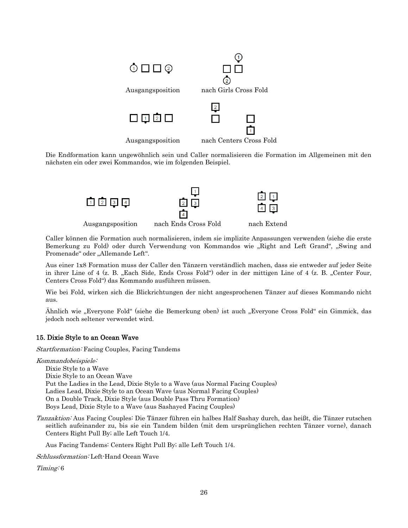

Die Endformation kann ungewöhnlich sein und Caller normalisieren die Formation im Allgemeinen mit den nächsten ein oder zwei Kommandos, wie im folgenden Beispiel.



Caller können die Formation auch normalisieren, indem sie implizite Anpassungen verwenden (siehe die erste Bemerkung zu Fold) oder durch Verwendung von Kommandos wie "Right and Left Grand", "Swing and Promenade" oder "Allemande Left".

Aus einer 1x8 Formation muss der Caller den Tänzern verständlich machen, dass sie entweder auf jeder Seite in ihrer Line of 4 (z. B. "Each Side, Ends Cross Fold") oder in der mittigen Line of 4 (z. B. "Center Four, Centers Cross Fold") das Kommando ausführen müssen.

Wie bei Fold, wirken sich die Blickrichtungen der nicht angesprochenen Tänzer auf dieses Kommando nicht aus.

Ähnlich wie "Everyone Fold" (siehe die Bemerkung oben) ist auch "Everyone Cross Fold" ein Gimmick, das jedoch noch seltener verwendet wird.

#### <span id="page-25-0"></span>15. Dixie Style to an Ocean Wave

Startformation: Facing Couples, Facing Tandems

Kommandobeispiele:

Dixie Style to a Wave Dixie Style to an Ocean Wave Put the Ladies in the Lead, Dixie Style to a Wave (aus Normal Facing Couples) Ladies Lead, Dixie Style to an Ocean Wave (aus Normal Facing Couples) On a Double Track, Dixie Style (aus Double Pass Thru Formation) Boys Lead, Dixie Style to a Wave (aus Sashayed Facing Couples)

Tanzaktion: Aus Facing Couples: Die Tänzer führen ein halbes Half Sashay durch, das heißt, die Tänzer rutschen seitlich aufeinander zu, bis sie ein Tandem bilden (mit dem ursprünglichen rechten Tänzer vorne), danach Centers Right Pull By; alle Left Touch 1/4.

Aus Facing Tandems: Centers Right Pull By; alle Left Touch 1/4.

Schlussformation: Left-Hand Ocean Wave

Timing: 6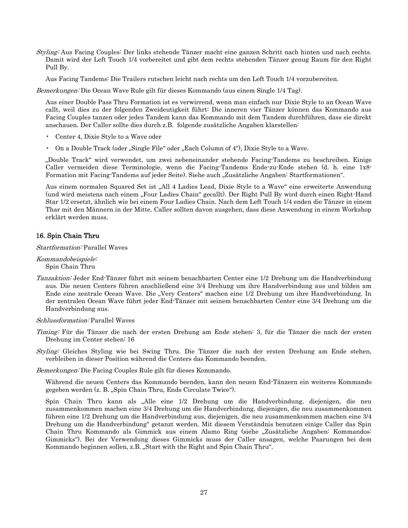Styling: Aus Facing Couples: Der links stehende Tänzer macht eine ganzen Schritt nach hinten und nach rechts. Damit wird der Left Touch 1/4 vorbereitet und gibt dem rechts stehenden Tänzer genug Raum für den Right Pull By.

Aus Facing Tandems: Die Trailers rutschen leicht nach rechts um den Left Touch 1/4 vorzubereiten.

Bemerkungen: Die Ocean Wave Rule gilt für dieses Kommando (aus einem Single 1/4 Tag).

Aus einer Double Pass Thru Formation ist es verwirrend, wenn man einfach nur Dixie Style to an Ocean Wave callt, weil dies zu der folgenden Zweideutigkeit führt: Die inneren vier Tänzer können das Kommando aus Facing Couples tanzen oder jedes Tandem kann das Kommando mit dem Tandem durchführen, dass sie direkt anschauen. Der Caller sollte dies durch z.B. folgende zusätzliche Angaben klarstellen:

- Center 4, Dixie Style to a Wave oder
- On a Double Track (oder "Single File" oder "Each Column of 4"), Dixie Style to a Wave.

"Double Track" wird verwendet, um zwei nebeneinander stehende Facing-Tandems zu beschreiben. Einige Caller vermeiden diese Terminologie, wenn die Facing-Tandems Ende-zu-Ende stehen (d. h. eine 1x8- Formation mit Facing-Tandems auf jeder Seite). Siehe auch "Zusätzliche Angaben: Startformationen".

Aus einem normalen Squared Set ist "All 4 Ladies Lead, Dixie Style to a Wave" eine erweiterte Anwendung (und wird meistens nach einem "Four Ladies Chain" gecallt). Der Right Pull By wird durch einen Right-Hand Star 1/2 ersetzt, ähnlich wie bei einem Four Ladies Chain. Nach dem Left Touch 1/4 enden die Tänzer in einem Thar mit den Männern in der Mitte. Caller sollten davon ausgehen, dass diese Anwendung in einem Workshop erklärt werden muss.

#### <span id="page-26-0"></span>16. Spin Chain Thru

#### Startformation: Parallel Waves

Kommandobeispiele: Spin Chain Thru

Tanzaktion: Jeder End-Tänzer führt mit seinem benachbarten Center eine 1/2 Drehung um die Handverbindung aus. Die neuen Centers führen anschließend eine 3/4 Drehung um ihre Handverbindung aus und bilden am Ende eine zentrale Ocean Wave. Die "Very Centers" machen eine 1/2 Drehung um ihre Handverbindung. In der zentralen Ocean Wave führt jeder End-Tänzer mit seinem benachbarten Center eine 3/4 Drehung um die Handverbindung aus.

#### Schlussformation: Parallel Waves

Timing: Für die Tänzer die nach der ersten Drehung am Ende stehen: 3, für die Tänzer die nach der ersten Drehung im Center stehen: 16

Styling: Gleiches Styling wie bei Swing Thru. Die Tänzer die nach der ersten Drehung am Ende stehen, verbleiben in dieser Position während die Centers das Kommando beenden.

Bemerkungen: Die Facing Couples Rule gilt für dieses Kommando.

Während die neuen Centers das Kommando beenden, kann den neuen End-Tänzern ein weiteres Kommando gegeben werden (z. B. "Spin Chain Thru, Ends Circulate Twice").

Spin Chain Thru kann als "Alle eine 1/2 Drehung um die Handverbindung, diejenigen, die neu zusammenkommen machen eine 3/4 Drehung um die Handverbindung, diejenigen, die neu zusammenkommen führen eine 1/2 Drehung um die Handverbindung aus, diejenigen, die neu zusammenkommen machen eine 3/4 Drehung um die Handverbindung" getanzt werden. Mit diesem Verständnis benutzen einige Caller das Spin Chain Thru Kommando als Gimmick aus einem Alamo Ring (siehe "Zusätzliche Angaben: Kommandos: Gimmicks"). Bei der Verwendung dieses Gimmicks muss der Caller ansagen, welche Paarungen bei dem Kommando beginnen sollen, z.B. "Start with the Right and Spin Chain Thru".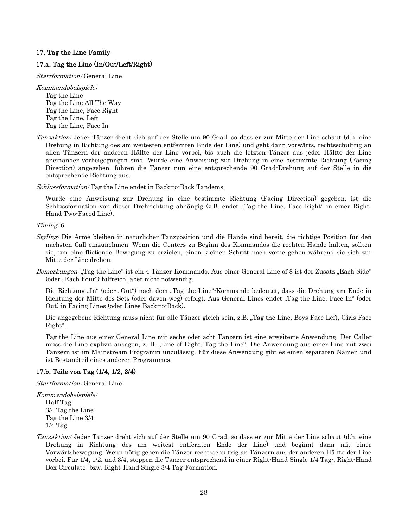#### <span id="page-27-0"></span>17. Tag the Line Family

#### <span id="page-27-1"></span>17.a. Tag the Line (In/Out/Left/Right)

Startformation: General Line

Kommandobeispiele: Tag the Line Tag the Line All The Way Tag the Line, Face Right Tag the Line, Left Tag the Line, Face In

Tanzaktion: Jeder Tänzer dreht sich auf der Stelle um 90 Grad, so dass er zur Mitte der Line schaut (d.h. eine Drehung in Richtung des am weitesten entfernten Ende der Line) und geht dann vorwärts, rechtsschultrig an allen Tänzern der anderen Hälfte der Line vorbei, bis auch die letzten Tänzer aus jeder Hälfte der Line aneinander vorbeigegangen sind. Wurde eine Anweisung zur Drehung in eine bestimmte Richtung (Facing Direction) angegeben, führen die Tänzer nun eine entsprechende 90 Grad-Drehung auf der Stelle in die entsprechende Richtung aus.

Schlussformation: Tag the Line endet in Back-to-Back Tandems.

Wurde eine Anweisung zur Drehung in eine bestimmte Richtung (Facing Direction) gegeben, ist die Schlussformation von dieser Drehrichtung abhängig (z.B. endet "Tag the Line, Face Right" in einer Right-Hand Two-Faced Line).

Timing: 6

- Styling: Die Arme bleiben in natürlicher Tanzposition und die Hände sind bereit, die richtige Position für den nächsten Call einzunehmen. Wenn die Centers zu Beginn des Kommandos die rechten Hände halten, sollten sie, um eine fließende Bewegung zu erzielen, einen kleinen Schritt nach vorne gehen während sie sich zur Mitte der Line drehen.
- Bemerkungen: "Tag the Line" ist ein 4-Tänzer-Kommando. Aus einer General Line of 8 ist der Zusatz "Each Side" (oder "Each Four") hilfreich, aber nicht notwendig.

Die Richtung "In" (oder "Out") nach dem "Tag the Line"-Kommando bedeutet, dass die Drehung am Ende in Richtung der Mitte des Sets (oder davon weg) erfolgt. Aus General Lines endet "Tag the Line, Face In" (oder Out) in Facing Lines (oder Lines Back-to-Back).

Die angegebene Richtung muss nicht für alle Tänzer gleich sein, z.B. "Tag the Line, Boys Face Left, Girls Face Right".

Tag the Line aus einer General Line mit sechs oder acht Tänzern ist eine erweiterte Anwendung. Der Caller muss die Line explizit ansagen, z. B. "Line of Eight, Tag the Line". Die Anwendung aus einer Line mit zwei Tänzern ist im Mainstream Programm unzulässig. Für diese Anwendung gibt es einen separaten Namen und ist Bestandteil eines anderen Programmes.

#### <span id="page-27-2"></span>17.b. Teile von Tag (1/4, 1/2, 3/4)

Startformation: General Line

Kommandobeispiele: Half Tag 3/4 Tag the Line Tag the Line 3/4 1/4 Tag

Tanzaktion: Jeder Tänzer dreht sich auf der Stelle um 90 Grad, so dass er zur Mitte der Line schaut (d.h. eine Drehung in Richtung des am weitest entfernten Ende der Line) und beginnt dann mit einer Vorwärtsbewegung. Wenn nötig gehen die Tänzer rechtsschultrig an Tänzern aus der anderen Hälfte der Line vorbei. Für 1/4, 1/2, und 3/4, stoppen die Tänzer entsprechend in einer Right-Hand Single 1/4 Tag-, Right-Hand Box Circulate- bzw. Right-Hand Single 3/4 Tag-Formation.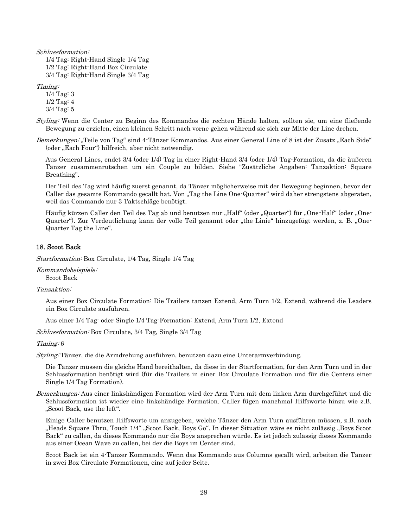Schlussformation:

1/4 Tag: Right-Hand Single 1/4 Tag 1/2 Tag: Right-Hand Box Circulate 3/4 Tag: Right-Hand Single 3/4 Tag

Timing:

1/4 Tag: 3 1/2 Tag: 4 3/4 Tag: 5

Styling: Wenn die Center zu Beginn des Kommandos die rechten Hände halten, sollten sie, um eine fließende Bewegung zu erzielen, einen kleinen Schritt nach vorne gehen während sie sich zur Mitte der Line drehen.

Bemerkungen: "Teile von Tag" sind 4-Tänzer Kommandos. Aus einer General Line of 8 ist der Zusatz "Each Side" (oder "Each Four") hilfreich, aber nicht notwendig.

Aus General Lines, endet 3/4 (oder 1/4) Tag in einer Right-Hand 3/4 (oder 1/4) Tag-Formation, da die äußeren Tänzer zusammenrutschen um ein Couple zu bilden. Siehe "Zusätzliche Angaben: Tanzaktion: Square Breathing".

Der Teil des Tag wird häufig zuerst genannt, da Tänzer möglicherweise mit der Bewegung beginnen, bevor der Caller das gesamte Kommando gecallt hat. Von "Tag the Line One-Quarter" wird daher strengstens abgeraten, weil das Commando nur 3 Taktschläge benötigt.

Häufig kürzen Caller den Teil des Tag ab und benutzen nur "Half" (oder "Quarter") für "One-Half" (oder "One-Quarter"). Zur Verdeutlichung kann der volle Teil genannt oder "the Linie" hinzugefügt werden, z. B. "One-Quarter Tag the Line".

#### <span id="page-28-0"></span>18. Scoot Back

Startformation: Box Circulate, 1/4 Tag, Single 1/4 Tag

Kommandobeispiele: Scoot Back

Tanzaktion:

Aus einer Box Circulate Formation: Die Trailers tanzen Extend, Arm Turn 1/2, Extend, während die Leaders ein Box Circulate ausführen.

Aus einer 1/4 Tag- oder Single 1/4 Tag-Formation: Extend, Arm Turn 1/2, Extend

Schlussformation: Box Circulate, 3/4 Tag, Single 3/4 Tag

Timing: 6

Styling: Tänzer, die die Armdrehung ausführen, benutzen dazu eine Unterarmverbindung.

Die Tänzer müssen die gleiche Hand bereithalten, da diese in der Startformation, für den Arm Turn und in der Schlussformation benötigt wird (für die Trailers in einer Box Circulate Formation und für die Centers einer Single 1/4 Tag Formation).

Bemerkungen: Aus einer linkshändigen Formation wird der Arm Turn mit dem linken Arm durchgeführt und die Schlussformation ist wieder eine linkshändige Formation. Caller fügen manchmal Hilfsworte hinzu wie z.B. "Scoot Back, use the left".

Einige Caller benutzen Hilfsworte um anzugeben, welche Tänzer den Arm Turn ausführen müssen, z.B. nach "Heads Square Thru, Touch 1/4" "Scoot Back, Boys Go". In dieser Situation wäre es nicht zulässig "Boys Scoot Back" zu callen, da dieses Kommando nur die Boys ansprechen würde. Es ist jedoch zulässig dieses Kommando aus einer Ocean Wave zu callen, bei der die Boys im Center sind.

Scoot Back ist ein 4-Tänzer Kommando. Wenn das Kommando aus Columns gecallt wird, arbeiten die Tänzer in zwei Box Circulate Formationen, eine auf jeder Seite.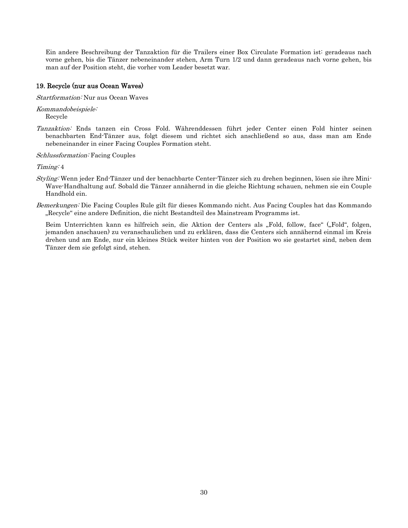Ein andere Beschreibung der Tanzaktion für die Trailers einer Box Circulate Formation ist: geradeaus nach vorne gehen, bis die Tänzer nebeneinander stehen, Arm Turn 1/2 und dann geradeaus nach vorne gehen, bis man auf der Position steht, die vorher vom Leader besetzt war.

#### <span id="page-29-0"></span>19. Recycle (nur aus Ocean Waves)

Startformation: Nur aus Ocean Waves

Kommandobeispiele: Recycle

Tanzaktion: Ends tanzen ein Cross Fold. Währenddessen führt jeder Center einen Fold hinter seinen benachbarten End-Tänzer aus, folgt diesem und richtet sich anschließend so aus, dass man am Ende nebeneinander in einer Facing Couples Formation steht.

Schlussformation: Facing Couples

Timing: 4

- Styling: Wenn jeder End-Tänzer und der benachbarte Center-Tänzer sich zu drehen beginnen, lösen sie ihre Mini-Wave-Handhaltung auf. Sobald die Tänzer annähernd in die gleiche Richtung schauen, nehmen sie ein Couple Handhold ein.
- Bemerkungen: Die Facing Couples Rule gilt für dieses Kommando nicht. Aus Facing Couples hat das Kommando "Recycle" eine andere Definition, die nicht Bestandteil des Mainstream Programms ist.

Beim Unterrichten kann es hilfreich sein, die Aktion der Centers als "Fold, follow, face" ("Fold", folgen, jemanden anschauen) zu veranschaulichen und zu erklären, dass die Centers sich annähernd einmal im Kreis drehen und am Ende, nur ein kleines Stück weiter hinten von der Position wo sie gestartet sind, neben dem Tänzer dem sie gefolgt sind, stehen.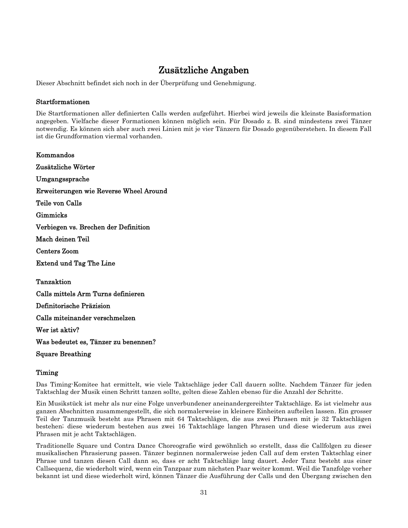## Zusätzliche Angaben

<span id="page-30-1"></span><span id="page-30-0"></span>Dieser Abschnitt befindet sich noch in der Überprüfung und Genehmigung.

#### Startformationen

Die Startformationen aller definierten Calls werden aufgeführt. Hierbei wird jeweils die kleinste Basisformation angegeben. Vielfache dieser Formationen können möglich sein. Für Dosado z. B. sind mindestens zwei Tänzer notwendig. Es können sich aber auch zwei Linien mit je vier Tänzern für Dosado gegenüberstehen. In diesem Fall ist die Grundformation viermal vorhanden.

<span id="page-30-10"></span><span id="page-30-9"></span><span id="page-30-8"></span><span id="page-30-7"></span><span id="page-30-6"></span><span id="page-30-5"></span><span id="page-30-4"></span><span id="page-30-3"></span><span id="page-30-2"></span>Kommandos Zusätzliche Wörter Umgangssprache Erweiterungen wie Reverse Wheel Around Teile von Calls Gimmicks Verbiegen vs. Brechen der Definition Mach deinen Teil Centers Zoom Extend und Tag The Line Tanzaktion Calls mittels Arm Turns definieren Definitorische Präzision Calls miteinander verschmelzen Wer ist aktiv? Was bedeutet es, Tänzer zu benennen?

<span id="page-30-19"></span><span id="page-30-18"></span><span id="page-30-17"></span><span id="page-30-16"></span><span id="page-30-15"></span><span id="page-30-14"></span><span id="page-30-13"></span><span id="page-30-12"></span><span id="page-30-11"></span>Square Breathing

## Timing

Das Timing-Komitee hat ermittelt, wie viele Taktschläge jeder Call dauern sollte. Nachdem Tänzer für jeden Taktschlag der Musik einen Schritt tanzen sollte, gelten diese Zahlen ebenso für die Anzahl der Schritte.

Ein Musikstück ist mehr als nur eine Folge unverbundener aneinandergereihter Taktschläge. Es ist vielmehr aus ganzen Abschnitten zusammengestellt, die sich normalerweise in kleinere Einheiten aufteilen lassen. Ein grosser Teil der Tanzmusik besteht aus Phrasen mit 64 Taktschlägen, die aus zwei Phrasen mit je 32 Taktschlägen bestehen; diese wiederum bestehen aus zwei 16 Taktschläge langen Phrasen und diese wiederum aus zwei Phrasen mit je acht Taktschlägen.

Traditionelle Square und Contra Dance Choreografie wird gewöhnlich so erstellt, dass die Callfolgen zu dieser musikalischen Phrasierung passen. Tänzer beginnen normalerweise jeden Call auf dem ersten Taktschlag einer Phrase und tanzen diesen Call dann so, dass er acht Taktschläge lang dauert. Jeder Tanz besteht aus einer Callsequenz, die wiederholt wird, wenn ein Tanzpaar zum nächsten Paar weiter kommt. Weil die Tanzfolge vorher bekannt ist und diese wiederholt wird, können Tänzer die Ausführung der Calls und den Übergang zwischen den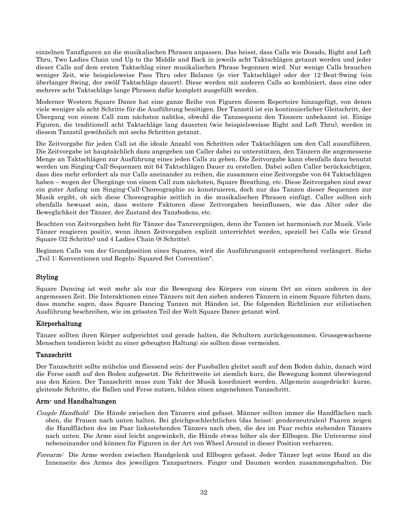einzelnen Tanzfiguren an die musikalischen Phrasen anpassen. Das heisst, dass Calls wie Dosado, Right and Left Thru, Two Ladies Chain und Up to the Middle and Back in jeweils acht Taktschlägen getanzt werden und jeder dieser Calls auf dem ersten Taktschlag einer musikalischen Phrase begonnen wird. Nur wenige Calls brauchen weniger Zeit, wie beispielsweise Pass Thru oder Balance (je vier Taktschläge) oder der 12-Beat-Swing (ein überlanger Swing, der zwölf Taktschläge dauert). Diese werden mit anderen Calls so kombiniert, dass eine oder mehrere acht Taktschläge lange Phrasen dafür komplett ausgefüllt werden.

Moderner Western Square Dance hat eine ganze Reihe von Figuren diesem Repertoire hinzugefügt, von denen viele weniger als acht Schritte für die Ausführung benötigen. Der Tanzstil ist ein kontinuierlicher Gleitschritt, der Übergang von einem Call zum nächsten nahtlos, obwohl die Tanzsequenz den Tänzern unbekannt ist. Einige Figuren, die traditionell acht Taktschläge lang dauerten (wie beispielsweisse Right and Left Thru), werden in diesem Tanzstil gewöhnlich mit sechs Schritten getanzt.

Die Zeitvorgabe für jeden Call ist die ideale Anzahl von Schritten oder Taktschlägen um den Call auszuführen. Die Zeitvorgabe ist hauptsächlich dazu angegeben um Caller dabei zu unterstützen, den Tänzern die angemessene Menge an Taktschlägen zur Ausführung eines jeden Calls zu geben. Die Zeitvorgabe kann ebenfalls dazu benutzt werden um Singing-Call-Sequenzen mit 64 Taktschlägen Dauer zu erstellen. Dabei sollen Caller berücksichtigen, dass dies mehr erfordert als nur Calls aneinander zu reihen, die zusammen eine Zeitvorgabe von 64 Taktschlägen haben – wegen der Übergänge von einem Call zum nächsten, Square Breathing, etc. Diese Zeitvorgaben sind zwar ein guter Anfang um Singing-Call-Choreographie zu konstruieren, doch nur das Tanzen dieser Sequenzen zur Musik ergibt, ob sich diese Choreographie zeitlich in die musikalischen Phrasen einfügt. Caller sollten sich ebenfalls bewusst sein, dass weitere Faktoren diese Zeitvorgaben beeinflussen, wie das Alter oder die Beweglichkeit der Tänzer, der Zustand des Tanzbodens, etc.

Beachten von Zeitvorgaben hebt für Tänzer das Tanzvergnügen, denn ihr Tanzen ist harmonisch zur Musik. Viele Tänzer reagieren positiv, wenn ihnen Zeitvorgaben explizit unterrichtet werden, speziell bei Calls wie Grand Square (32 Schritte) und 4 Ladies Chain (8 Schritte).

Beginnen Calls von der Grundposition eines Squares, wird die Ausführungszeit entsprechend verlängert. Siehe "Teil 1: Konventionen und Regeln: Squared Set Convention".

## <span id="page-31-0"></span>Styling

Square Dancing ist weit mehr als nur die Bewegung des Körpers von einem Ort an einen anderen in der angemessen Zeit. Die Interaktionen eines Tänzers mit den sieben anderen Tänzern in einem Square führten dazu, dass manche sagen, dass Square Dancing Tanzen mit Händen ist. Die folgenden Richtlinien zur stilistischen Ausführung beschreiben, wie im grössten Teil der Welt Square Dance getanzt wird.

#### <span id="page-31-1"></span>Körperhaltung

Tänzer sollten ihren Körper aufgerichtet und gerade halten, die Schultern zurückgenommen. Grossgewachsene Menschen tendieren leicht zu einer gebeugten Haltung; sie sollten diese vermeiden.

#### <span id="page-31-2"></span>Tanzschritt

Der Tanzschritt sollte mühelos und fliessend sein; der Fussballen gleitet sanft auf dem Boden dahin, danach wird die Ferse sanft auf den Boden aufgesetzt. Die Schrittweite ist ziemlich kurz, die Bewegung kommt überwiegend aus den Knien. Der Tanzschritt muss zum Takt der Musik koordiniert werden. Allgemein ausgedrückt: kurze, gleitende Schritte, die Ballen und Ferse nutzen, bilden einen angenehmen Tanzschritt.

#### <span id="page-31-3"></span>Arm- und Handhaltungen

- Couple Handhold: Die Hände zwischen den Tänzern sind gefasst. Männer sollten immer die Handflächen nach oben, die Frauen nach unten halten. Bei gleichgeschlechtlichen (das heisst: genderneutralen) Paaren zeigen die Handflächen des im Paar linksstehenden Tänzers nach oben, die des im Paar rechts stehenden Tänzers nach unten. Die Arme sind leicht angewinkelt, die Hände etwas höher als der Ellbogen. Die Unterarme sind nebeneinander und können für Figuren in der Art von Wheel Around in dieser Position verharren.
- Forearm: Die Arme werden zwischen Handgelenk und Ellbogen gefasst. Jeder Tänzer legt seine Hand an die Innenseite des Armes des jeweiligen Tanzpartners. Finger und Daumen werden zusammengehalten. Die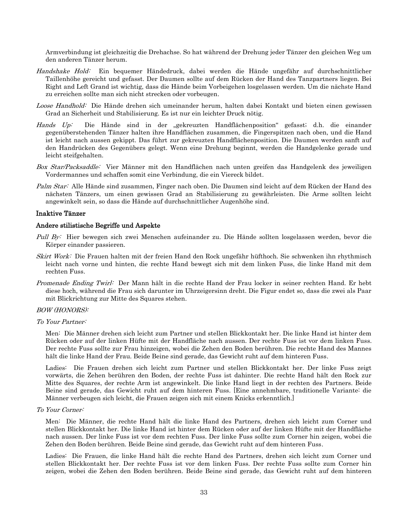Armverbindung ist gleichzeitig die Drehachse. So hat während der Drehung jeder Tänzer den gleichen Weg um den anderen Tänzer herum.

- Handshake Hold: Ein bequemer Händedruck, dabei werden die Hände ungefähr auf durchschnittlicher Taillenhöhe gereicht und gefasst. Der Daumen sollte auf dem Rücken der Hand des Tanzpartners liegen. Bei Right and Left Grand ist wichtig, dass die Hände beim Vorbeigehen losgelassen werden. Um die nächste Hand zu erreichen sollte man sich nicht strecken oder vorbeugen.
- Loose Handhold: Die Hände drehen sich umeinander herum, halten dabei Kontakt und bieten einen gewissen Grad an Sicherheit und Stabilisierung. Es ist nur ein leichter Druck nötig.
- Hands Up: Die Hände sind in der "gekreuzten Handflächenposition" gefasst; d.h. die einander gegenüberstehenden Tänzer halten ihre Handflächen zusammen, die Fingerspitzen nach oben, und die Hand ist leicht nach aussen gekippt. Das führt zur gekreuzten Handflächenposition. Die Daumen werden sanft auf den Handrücken des Gegenübers gelegt. Wenn eine Drehung beginnt, werden die Handgelenke gerade und leicht steifgehalten.
- Box Star/Packsaddle: Vier Männer mit den Handflächen nach unten greifen das Handgelenk des jeweiligen Vordermannes und schaffen somit eine Verbindung, die ein Viereck bildet.
- Palm Star: Alle Hände sind zusammen, Finger nach oben. Die Daumen sind leicht auf dem Rücken der Hand des nächsten Tänzers, um einen gewissen Grad an Stabilisierung zu gewährleisten. Die Arme sollten leicht angewinkelt sein, so dass die Hände auf durchschnittlicher Augenhöhe sind.

#### <span id="page-32-0"></span>Inaktive Tänzer

#### <span id="page-32-1"></span>Andere stilistische Begriffe und Aspekte

- Pull By: Hier bewegen sich zwei Menschen aufeinander zu. Die Hände sollten losgelassen werden, bevor die Körper einander passieren.
- Skirt Work: Die Frauen halten mit der freien Hand den Rock ungefähr hüfthoch. Sie schwenken ihn rhythmisch leicht nach vorne und hinten, die rechte Hand bewegt sich mit dem linken Fuss, die linke Hand mit dem rechten Fuss.
- Promenade Ending Twirl: Der Mann hält in die rechte Hand der Frau locker in seiner rechten Hand. Er hebt diese hoch, während die Frau sich darunter im Uhrzeigersinn dreht. Die Figur endet so, dass die zwei als Paar mit Blickrichtung zur Mitte des Squares stehen.

#### BOW (HONORS):

#### To Your Partner:

Men: Die Männer drehen sich leicht zum Partner und stellen Blickkontakt her. Die linke Hand ist hinter dem Rücken oder auf der linken Hüfte mit der Handfläche nach aussen. Der rechte Fuss ist vor dem linken Fuss. Der rechte Fuss sollte zur Frau hinzeigen, wobei die Zehen den Boden berühren. Die rechte Hand des Mannes hält die linke Hand der Frau. Beide Beine sind gerade, das Gewicht ruht auf dem hinteren Fuss.

Ladies: Die Frauen drehen sich leicht zum Partner und stellen Blickkontakt her. Der linke Fuss zeigt vorwärts, die Zehen berühren den Boden, der rechte Fuss ist dahinter. Die rechte Hand hält den Rock zur Mitte des Squares, der rechte Arm ist angewinkelt. Die linke Hand liegt in der rechten des Partners. Beide Beine sind gerade, das Gewicht ruht auf dem hinteren Fuss. [Eine annehmbare, traditionelle Variante: die Männer verbeugen sich leicht, die Frauen zeigen sich mit einem Knicks erkenntlich.]

#### To Your Corner:

Men: Die Männer, die rechte Hand hält die linke Hand des Partners, drehen sich leicht zum Corner und stellen Blickkontakt her. Die linke Hand ist hinter dem Rücken oder auf der linken Hüfte mit der Handfläche nach aussen. Der linke Fuss ist vor dem rechten Fuss. Der linke Fuss sollte zum Corner hin zeigen, wobei die Zehen den Boden berühren. Beide Beine sind gerade, das Gewicht ruht auf dem hinteren Fuss.

Ladies: Die Frauen, die linke Hand hält die rechte Hand des Partners, drehen sich leicht zum Corner und stellen Blickkontakt her. Der rechte Fuss ist vor dem linken Fuss. Der rechte Fuss sollte zum Corner hin zeigen, wobei die Zehen den Boden berühren. Beide Beine sind gerade, das Gewicht ruht auf dem hinteren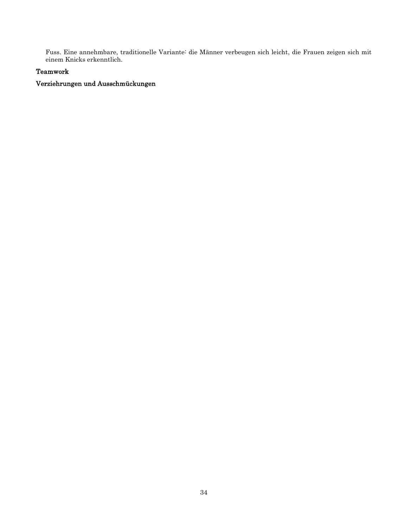Fuss. Eine annehmbare, traditionelle Variante: die Männer verbeugen sich leicht, die Frauen zeigen sich mit einem Knicks erkenntlich.

## <span id="page-33-0"></span>Teamwork

## <span id="page-33-1"></span>Verziehrungen und Ausschmückungen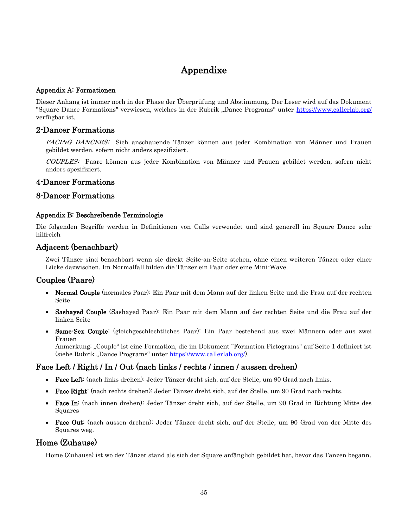# Appendixe

#### <span id="page-34-1"></span><span id="page-34-0"></span>Appendix A: Formationen

Dieser Anhang ist immer noch in der Phase der Überprüfung und Abstimmung. Der Leser wird auf das Dokument "Square Dance Formations" verwiesen, welches in der Rubrik "Dance Programs" unter https://www.callerlab.org/ verfügbar ist.

## <span id="page-34-2"></span>2-Dancer Formations

FACING DANCERS: Sich anschauende Tänzer können aus jeder Kombination von Männer und Frauen gebildet werden, sofern nicht anders spezifiziert.

COUPLES: Paare können aus jeder Kombination von Männer und Frauen gebildet werden, sofern nicht anders spezifiziert.

## <span id="page-34-3"></span>4-Dancer Formations

## <span id="page-34-5"></span><span id="page-34-4"></span>8-Dancer Formations

#### Appendix B: Beschreibende Terminologie

Die folgenden Begriffe werden in Definitionen von Calls verwendet und sind generell im Square Dance sehr hilfreich

## <span id="page-34-6"></span>Adjacent (benachbart)

Zwei Tänzer sind benachbart wenn sie direkt Seite-an-Seite stehen, ohne einen weiteren Tänzer oder einer Lücke dazwischen. Im Normalfall bilden die Tänzer ein Paar oder eine Mini-Wave.

## <span id="page-34-7"></span>Couples (Paare)

- Normal Couple (normales Paar): Ein Paar mit dem Mann auf der linken Seite und die Frau auf der rechten Seite
- Sashayed Couple (Sashayed Paar): Ein Paar mit dem Mann auf der rechten Seite und die Frau auf der linken Seite
- Same-Sex Couple: (gleichgeschlechtliches Paar): Ein Paar bestehend aus zwei Männern oder aus zwei Frauen

Anmerkung: "Couple" ist eine Formation, die im Dokument "Formation Pictograms" auf Seite 1 definiert ist (siehe Rubrik "Dance Programs" unter [https://www.callerlab.org/\)](https://www.callerlab.org/).

## <span id="page-34-8"></span>Face Left / Right / In / Out (nach links / rechts / innen / aussen drehen)

- Face Left: (nach links drehen): Jeder Tänzer dreht sich, auf der Stelle, um 90 Grad nach links.
- Face Right: (nach rechts drehen): Jeder Tänzer dreht sich, auf der Stelle, um 90 Grad nach rechts.
- Face In: (nach innen drehen): Jeder Tänzer dreht sich, auf der Stelle, um 90 Grad in Richtung Mitte des Squares
- Face Out: (nach aussen drehen): Jeder Tänzer dreht sich, auf der Stelle, um 90 Grad von der Mitte des Squares weg.

## <span id="page-34-9"></span>Home (Zuhause)

Home (Zuhause) ist wo der Tänzer stand als sich der Square anfänglich gebildet hat, bevor das Tanzen begann.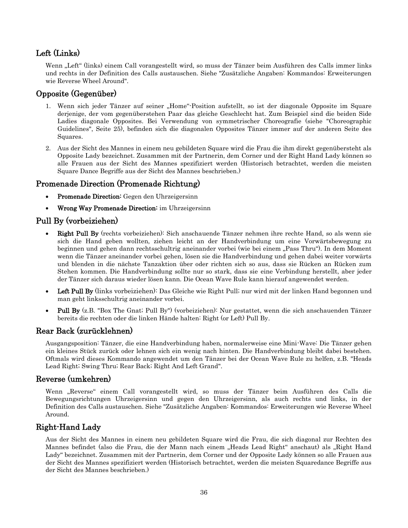## <span id="page-35-0"></span>Left (Links)

Wenn "Left" (links) einem Call vorangestellt wird, so muss der Tänzer beim Ausführen des Calls immer links und rechts in der Definition des Calls austauschen. Siehe "Zusätzliche Angaben: Kommandos: Erweiterungen wie Reverse Wheel Around".

## <span id="page-35-1"></span>Opposite (Gegenüber)

- 1. Wenn sich jeder Tänzer auf seiner "Home"-Position aufstellt, so ist der diagonale Opposite im Square derjenige, der vom gegenüberstehen Paar das gleiche Geschlecht hat. Zum Beispiel sind die beiden Side Ladies diagonale Opposites. Bei Verwendung von symmetrischer Choreografie (siehe "Choreographic Guidelines", Seite 25), befinden sich die diagonalen Opposites Tänzer immer auf der anderen Seite des Squares.
- 2. Aus der Sicht des Mannes in einem neu gebildeten Square wird die Frau die ihm direkt gegenübersteht als Opposite Lady bezeichnet. Zusammen mit der Partnerin, dem Corner und der Right Hand Lady können so alle Frauen aus der Sicht des Mannes spezifiziert werden (Historisch betrachtet, werden die meisten Square Dance Begriffe aus der Sicht des Mannes beschrieben.)

## <span id="page-35-2"></span>Promenade Direction (Promenade Richtung)

- Promenade Direction: Gegen den Uhrzeigersinn
- Wrong Way Promenade Direction: im Uhrzeigersinn

## <span id="page-35-3"></span>Pull By (vorbeiziehen)

- Right Pull By (rechts vorbeiziehen): Sich anschauende Tänzer nehmen ihre rechte Hand, so als wenn sie sich die Hand geben wollten, ziehen leicht an der Handverbindung um eine Vorwärtsbewegung zu beginnen und gehen dann rechtsschultrig aneinander vorbei (wie bei einem "Pass Thru"). In dem Moment wenn die Tänzer aneinander vorbei gehen, lösen sie die Handverbindung und gehen dabei weiter vorwärts und blenden in die nächste Tanzaktion über oder richten sich so aus, dass sie Rücken an Rücken zum Stehen kommen. Die Handverbindung sollte nur so stark, dass sie eine Verbindung herstellt, aber jeder der Tänzer sich daraus wieder lösen kann. Die Ocean Wave Rule kann hierauf angewendet werden.
- Left Pull By (links vorbeiziehen): Das Gleiche wie Right Pull; nur wird mit der linken Hand begonnen und man geht linksschultrig aneinander vorbei.
- Pull By (z.B. "Box The Gnat; Pull By") (vorbeiziehen): Nur gestattet, wenn die sich anschauenden Tänzer bereits die rechten oder die linken Hände halten: Right (or Left) Pull By.

## <span id="page-35-4"></span>Rear Back (zurücklehnen)

Ausgangsposition: Tänzer, die eine Handverbindung haben, normalerweise eine Mini-Wave: Die Tänzer gehen ein kleines Stück zurück oder lehnen sich ein wenig nach hinten. Die Handverbindung bleibt dabei bestehen. Oftmals wird dieses Kommando angewendet um den Tänzer bei der Ocean Wave Rule zu helfen, z.B. "Heads Lead Right; Swing Thru; Rear Back; Right And Left Grand".

## <span id="page-35-5"></span>Reverse (umkehren)

Wenn "Reverse" einem Call vorangestellt wird, so muss der Tänzer beim Ausführen des Calls die Bewegungsrichtungen Uhrzeigersinn und gegen den Uhrzeigersinn, als auch rechts und links, in der Definition des Calls austauschen. Siehe "Zusätzliche Angaben: Kommandos: Erweiterungen wie Reverse Wheel Around.

## <span id="page-35-6"></span>Right-Hand Lady

Aus der Sicht des Mannes in einem neu gebildeten Square wird die Frau, die sich diagonal zur Rechten des Mannes befindet (also die Frau, die der Mann nach einem "Heads Lead Right" anschaut) als "Right Hand Lady" bezeichnet. Zusammen mit der Partnerin, dem Corner und der Opposite Lady können so alle Frauen aus der Sicht des Mannes spezifiziert werden (Historisch betrachtet, werden die meisten Squaredance Begriffe aus der Sicht des Mannes beschrieben.)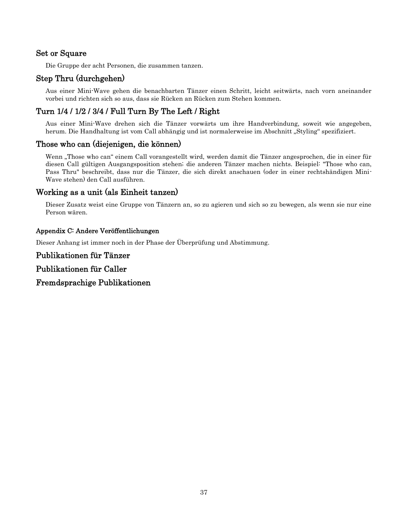## <span id="page-36-0"></span>Set or Square

Die Gruppe der acht Personen, die zusammen tanzen.

## <span id="page-36-1"></span>Step Thru (durchgehen)

Aus einer Mini-Wave gehen die benachbarten Tänzer einen Schritt, leicht seitwärts, nach vorn aneinander vorbei und richten sich so aus, dass sie Rücken an Rücken zum Stehen kommen.

## <span id="page-36-2"></span>Turn 1/4 / 1/2 / 3/4 / Full Turn By The Left / Right

Aus einer Mini-Wave drehen sich die Tänzer vorwärts um ihre Handverbindung, soweit wie angegeben, herum. Die Handhaltung ist vom Call abhängig und ist normalerweise im Abschnitt "Styling" spezifiziert.

## <span id="page-36-3"></span>Those who can (diejenigen, die können)

Wenn "Those who can" einem Call vorangestellt wird, werden damit die Tänzer angesprochen, die in einer für diesen Call gültigen Ausgangsposition stehen; die anderen Tänzer machen nichts. Beispiel: "Those who can, Pass Thru" beschreibt, dass nur die Tänzer, die sich direkt anschauen (oder in einer rechtshändigen Mini-Wave stehen) den Call ausführen.

## <span id="page-36-4"></span>Working as a unit (als Einheit tanzen)

Dieser Zusatz weist eine Gruppe von Tänzern an, so zu agieren und sich so zu bewegen, als wenn sie nur eine Person wären.

## <span id="page-36-5"></span>Appendix C: Andere Veröffentlichungen

Dieser Anhang ist immer noch in der Phase der Überprüfung und Abstimmung.

# <span id="page-36-6"></span>Publikationen für Tänzer

<span id="page-36-7"></span>Publikationen für Caller

<span id="page-36-8"></span>Fremdsprachige Publikationen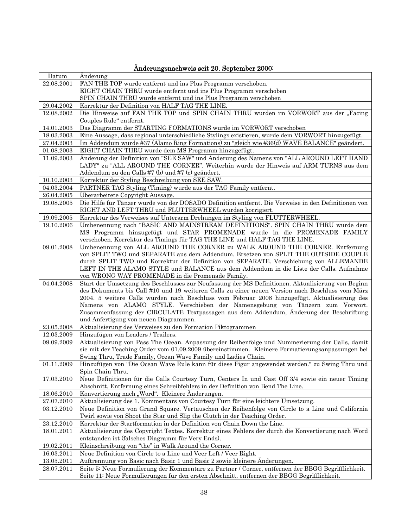<span id="page-37-0"></span>

| Datum      | Anderung                                                                                                                                                                       |
|------------|--------------------------------------------------------------------------------------------------------------------------------------------------------------------------------|
| 22.08.2001 | FAN THE TOP wurde entfernt und ins Plus Programm verschoben.                                                                                                                   |
|            | EIGHT CHAIN THRU wurde entfernt und ins Plus Programm verschoben                                                                                                               |
|            | SPIN CHAIN THRU wurde entfernt und ins Plus Programm verschoben                                                                                                                |
| 29.04.2002 | Korrektur der Definition von HALF TAG THE LINE.                                                                                                                                |
| 12.08.2002 | Die Hinweise auf FAN THE TOP und SPIN CHAIN THRU wurden im VORWORT aus der "Facing                                                                                             |
|            | Couples Rule" entfernt.                                                                                                                                                        |
| 14.01.2003 | Das Diagramm der STARTING FORMATIONS wurde im VORWORT verschoben                                                                                                               |
| 18.03.2003 | Eine Aussage, dass regional unterschiedliche Stylings existieren, wurde dem VORWORT hinzugefügt.                                                                               |
| 27.04.2003 | Im Addendum wurde #37 (Alamo Ring Formations) zu "gleich wie #36(d) WAVE BALANCE" geändert.                                                                                    |
| 01.08.2003 | EIGHT CHAIN THRU wurde dem MS Programm hinzugefügt.                                                                                                                            |
| 11.09.2003 | Änderung der Definition von "SEE SAW" und Änderung des Namens von "ALL AROUND LEFT HAND                                                                                        |
|            | LADY" zu "ALL AROUND THE CORNER". Weiterhin wurde der Hinweis auf ARM TURNS aus dem                                                                                            |
|            | Addendum zu den Calls #7 (b) und #7 (c) geändert.                                                                                                                              |
| 10.10.2003 | Korrektur der Styling Beschreibung von SEE SAW.                                                                                                                                |
| 04.03.2004 | PARTNER TAG Styling (Timing) wurde aus der TAG Family entfernt.                                                                                                                |
| 26.04.2005 | Überarbeitete Copyright Aussage.                                                                                                                                               |
| 19.08.2005 | Die Hilfe für Tänzer wurde von der DOSADO Definition entfernt. Die Verweise in den Definitionen von<br>RIGHT AND LEFT THRU und FLUTTERWHEEL wurden korrigiert.                 |
| 19.09.2005 | Korrektur des Verweises auf Unterarm Drehungen im Styling von FLUTTERWHEEL.                                                                                                    |
| 19.10.2006 | Umbenennung nach "BASIC AND MAINSTREAM DEFINITIONS". SPIN CHAIN THRU wurde dem                                                                                                 |
|            | MS Programm hinzugefügt und STAR PROMENADE wurde in die PROMENADE FAMILY                                                                                                       |
|            | verschoben. Korrektur des Timings für TAG THE LINE und HALF TAG THE LINE.                                                                                                      |
| 09.01.2008 | Umbenennung von ALL AROUND THE CORNER zu WALK AROUND THE CORNER. Entfernung                                                                                                    |
|            | von SPLIT TWO und SEPARATE aus dem Addendum. Ersetzen von SPLIT THE OUTSIDE COUPLE                                                                                             |
|            | durch SPLIT TWO und Korrektur der Definition von SEPARATE. Verschiebung von ALLEMANDE<br>LEFT IN THE ALAMO STYLE und BALANCE aus dem Addendum in die Liste der Calls. Aufnahme |
|            | von WRONG WAY PROMENADE in die Promenade Family.                                                                                                                               |
| 04.04.2008 | Start der Umsetzung des Beschlusses zur Neufassung der MS Definitionen. Aktualisierung von Beginn                                                                              |
|            | des Dokuments bis Call #10 und 19 weiteren Calls zu einer neuen Version nach Beschluss vom März                                                                                |
|            | 2004. 5 weitere Calls wurden nach Beschluss vom Februar 2008 hinzugefügt. Aktualisierung des                                                                                   |
|            | Namens von ALAMO STYLE. Verschieben der Namensgebung von Tänzern zum Vorwort.                                                                                                  |
|            | Zusammenfassung der CIRCULATE Textpassagen aus dem Addendum, Änderung der Beschriftung                                                                                         |
|            | und Anfertigung von neuen Diagrammen.                                                                                                                                          |
| 23.05.2008 | Aktualisierung des Verweises zu den Formation Piktogrammen                                                                                                                     |
| 12.03.2009 | Hinzufügen von Leaders / Trailers.                                                                                                                                             |
| 09.09.2009 | Aktualisierung von Pass The Ocean. Anpassung der Reihenfolge und Nummerierung der Calls, damit                                                                                 |
|            | sie mit der Teaching Order vom 01.09.2009 übereinstimmen. Kleinere Formatierungsanpassungen bei                                                                                |
|            | Swing Thru, Trade Family, Ocean Wave Family und Ladies Chain.                                                                                                                  |
| 01.11.2009 | Hinzufügen von "Die Ocean Wave Rule kann für diese Figur angewendet werden." zu Swing Thru und                                                                                 |
|            | Spin Chain Thru.                                                                                                                                                               |
| 17.03.2010 | Neue Definitionen für die Calls Courtesy Turn, Centers In und Cast Off 3/4 sowie ein neuer Timing                                                                              |
|            | Abschnitt. Entfernung eines Schreibfehlers in der Definition von Bend The Line.                                                                                                |
| 18.06.2010 | Konvertierung nach "Word". Kleinere Anderungen.                                                                                                                                |
| 27.07.2010 | Aktualisierung des 1. Kommentars von Courtesy Turn für eine leichtere Umsetzung.                                                                                               |
| 03.12.2010 | Neue Definition von Grand Square. Vertauschen der Reihenfolge von Circle to a Line und California<br>Twirl sowie von Shoot the Star und Slip the Clutch in der Teaching Order. |
| 23.12.2010 | Korrektur der Startformation in der Definition von Chain Down the Line.                                                                                                        |
| 18.01.2011 | Aktualisierung des Copyright Textes. Korrektur eines Fehlers der durch die Konvertierung nach Word                                                                             |
|            | entstanden ist (falsches Diagramm für Very Ends).                                                                                                                              |
| 19.02.2011 | Kleinschreibung von "the" in Walk Around the Corner.                                                                                                                           |
| 16.03.2011 | Neue Definition von Circle to a Line und Veer Left / Veer Right.                                                                                                               |
| 13.05.2011 | Auftrennung von Basic nach Basic 1 und Basic 2 sowie kleinere Anderungen.                                                                                                      |
| 28.07.2011 | Seite 5: Neue Formulierung der Kommentare zu Partner / Corner, entfernen der BBGG Begrifflichkeit.                                                                             |
|            | Seite 11: Neue Formulierungen für den ersten Abschnitt, entfernen der BBGG Begrifflichkeit.                                                                                    |

## Änderungsnachweis seit 20. September 2000: